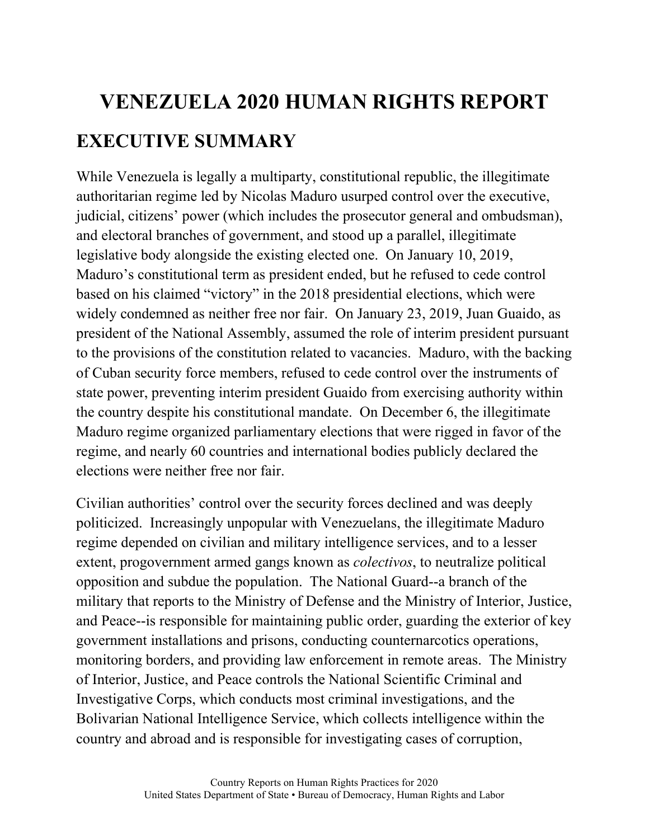# **VENEZUELA 2020 HUMAN RIGHTS REPORT EXECUTIVE SUMMARY**

While Venezuela is legally a multiparty, constitutional republic, the illegitimate authoritarian regime led by Nicolas Maduro usurped control over the executive, judicial, citizens' power (which includes the prosecutor general and ombudsman), and electoral branches of government, and stood up a parallel, illegitimate legislative body alongside the existing elected one. On January 10, 2019, Maduro's constitutional term as president ended, but he refused to cede control based on his claimed "victory" in the 2018 presidential elections, which were widely condemned as neither free nor fair. On January 23, 2019, Juan Guaido, as president of the National Assembly, assumed the role of interim president pursuant to the provisions of the constitution related to vacancies. Maduro, with the backing of Cuban security force members, refused to cede control over the instruments of state power, preventing interim president Guaido from exercising authority within the country despite his constitutional mandate. On December 6, the illegitimate Maduro regime organized parliamentary elections that were rigged in favor of the regime, and nearly 60 countries and international bodies publicly declared the elections were neither free nor fair.

Civilian authorities' control over the security forces declined and was deeply politicized. Increasingly unpopular with Venezuelans, the illegitimate Maduro regime depended on civilian and military intelligence services, and to a lesser extent, progovernment armed gangs known as *colectivos*, to neutralize political opposition and subdue the population. The National Guard--a branch of the military that reports to the Ministry of Defense and the Ministry of Interior, Justice, and Peace--is responsible for maintaining public order, guarding the exterior of key government installations and prisons, conducting counternarcotics operations, monitoring borders, and providing law enforcement in remote areas. The Ministry of Interior, Justice, and Peace controls the National Scientific Criminal and Investigative Corps, which conducts most criminal investigations, and the Bolivarian National Intelligence Service, which collects intelligence within the country and abroad and is responsible for investigating cases of corruption,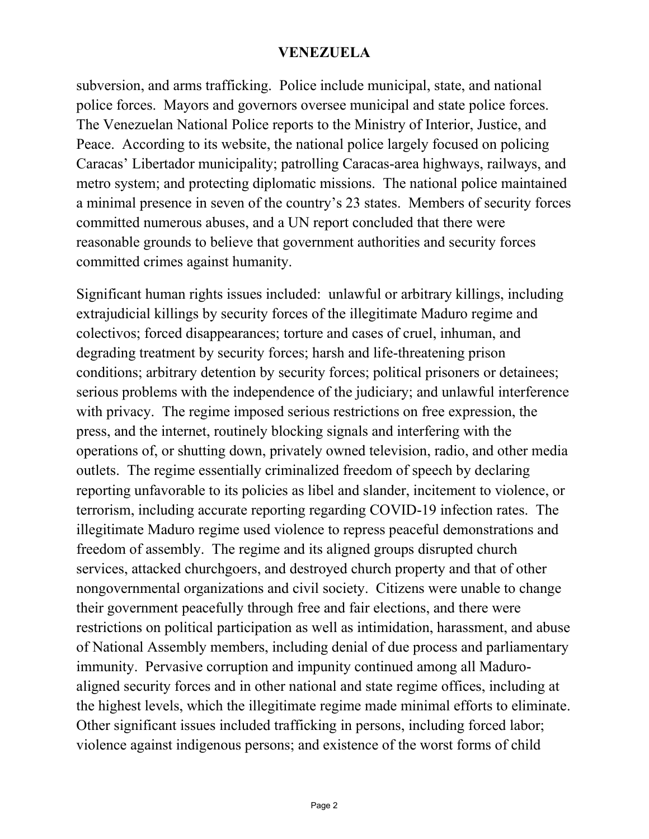subversion, and arms trafficking. Police include municipal, state, and national police forces. Mayors and governors oversee municipal and state police forces. The Venezuelan National Police reports to the Ministry of Interior, Justice, and Peace. According to its website, the national police largely focused on policing Caracas' Libertador municipality; patrolling Caracas-area highways, railways, and metro system; and protecting diplomatic missions. The national police maintained a minimal presence in seven of the country's 23 states. Members of security forces committed numerous abuses, and a UN report concluded that there were reasonable grounds to believe that government authorities and security forces committed crimes against humanity.

Significant human rights issues included: unlawful or arbitrary killings, including extrajudicial killings by security forces of the illegitimate Maduro regime and colectivos; forced disappearances; torture and cases of cruel, inhuman, and degrading treatment by security forces; harsh and life-threatening prison conditions; arbitrary detention by security forces; political prisoners or detainees; serious problems with the independence of the judiciary; and unlawful interference with privacy. The regime imposed serious restrictions on free expression, the press, and the internet, routinely blocking signals and interfering with the operations of, or shutting down, privately owned television, radio, and other media outlets. The regime essentially criminalized freedom of speech by declaring reporting unfavorable to its policies as libel and slander, incitement to violence, or terrorism, including accurate reporting regarding COVID-19 infection rates. The illegitimate Maduro regime used violence to repress peaceful demonstrations and freedom of assembly. The regime and its aligned groups disrupted church services, attacked churchgoers, and destroyed church property and that of other nongovernmental organizations and civil society. Citizens were unable to change their government peacefully through free and fair elections, and there were restrictions on political participation as well as intimidation, harassment, and abuse of National Assembly members, including denial of due process and parliamentary immunity. Pervasive corruption and impunity continued among all Maduroaligned security forces and in other national and state regime offices, including at the highest levels, which the illegitimate regime made minimal efforts to eliminate. Other significant issues included trafficking in persons, including forced labor; violence against indigenous persons; and existence of the worst forms of child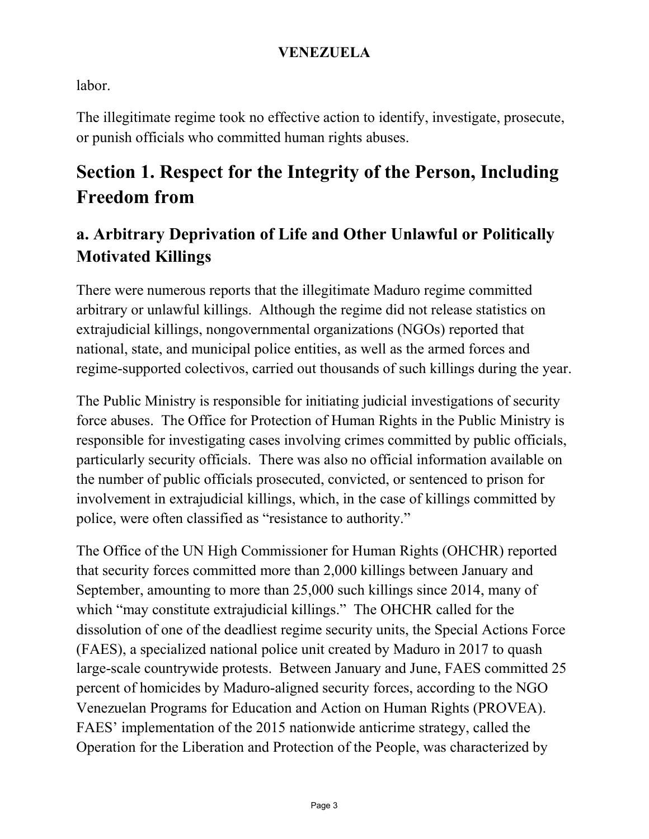labor.

The illegitimate regime took no effective action to identify, investigate, prosecute, or punish officials who committed human rights abuses.

# **Section 1. Respect for the Integrity of the Person, Including Freedom from**

### **a. Arbitrary Deprivation of Life and Other Unlawful or Politically Motivated Killings**

There were numerous reports that the illegitimate Maduro regime committed arbitrary or unlawful killings. Although the regime did not release statistics on extrajudicial killings, nongovernmental organizations (NGOs) reported that national, state, and municipal police entities, as well as the armed forces and regime-supported colectivos, carried out thousands of such killings during the year.

The Public Ministry is responsible for initiating judicial investigations of security force abuses. The Office for Protection of Human Rights in the Public Ministry is responsible for investigating cases involving crimes committed by public officials, particularly security officials. There was also no official information available on the number of public officials prosecuted, convicted, or sentenced to prison for involvement in extrajudicial killings, which, in the case of killings committed by police, were often classified as "resistance to authority."

The Office of the UN High Commissioner for Human Rights (OHCHR) reported that security forces committed more than 2,000 killings between January and September, amounting to more than 25,000 such killings since 2014, many of which "may constitute extrajudicial killings." The OHCHR called for the dissolution of one of the deadliest regime security units, the Special Actions Force (FAES), a specialized national police unit created by Maduro in 2017 to quash large-scale countrywide protests. Between January and June, FAES committed 25 percent of homicides by Maduro-aligned security forces, according to the NGO Venezuelan Programs for Education and Action on Human Rights (PROVEA). FAES' implementation of the 2015 nationwide anticrime strategy, called the Operation for the Liberation and Protection of the People, was characterized by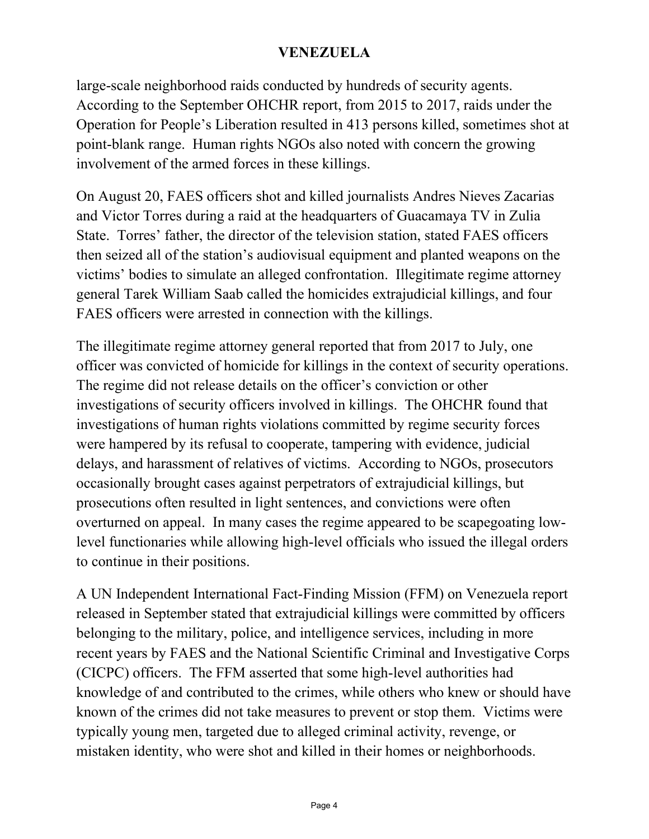large-scale neighborhood raids conducted by hundreds of security agents. According to the September OHCHR report, from 2015 to 2017, raids under the Operation for People's Liberation resulted in 413 persons killed, sometimes shot at point-blank range. Human rights NGOs also noted with concern the growing involvement of the armed forces in these killings.

On August 20, FAES officers shot and killed journalists Andres Nieves Zacarias and Victor Torres during a raid at the headquarters of Guacamaya TV in Zulia State. Torres' father, the director of the television station, stated FAES officers then seized all of the station's audiovisual equipment and planted weapons on the victims' bodies to simulate an alleged confrontation. Illegitimate regime attorney general Tarek William Saab called the homicides extrajudicial killings, and four FAES officers were arrested in connection with the killings.

The illegitimate regime attorney general reported that from 2017 to July, one officer was convicted of homicide for killings in the context of security operations. The regime did not release details on the officer's conviction or other investigations of security officers involved in killings. The OHCHR found that investigations of human rights violations committed by regime security forces were hampered by its refusal to cooperate, tampering with evidence, judicial delays, and harassment of relatives of victims. According to NGOs, prosecutors occasionally brought cases against perpetrators of extrajudicial killings, but prosecutions often resulted in light sentences, and convictions were often overturned on appeal. In many cases the regime appeared to be scapegoating lowlevel functionaries while allowing high-level officials who issued the illegal orders to continue in their positions.

A UN Independent International Fact-Finding Mission (FFM) on Venezuela report released in September stated that extrajudicial killings were committed by officers belonging to the military, police, and intelligence services, including in more recent years by FAES and the National Scientific Criminal and Investigative Corps (CICPC) officers. The FFM asserted that some high-level authorities had knowledge of and contributed to the crimes, while others who knew or should have known of the crimes did not take measures to prevent or stop them. Victims were typically young men, targeted due to alleged criminal activity, revenge, or mistaken identity, who were shot and killed in their homes or neighborhoods.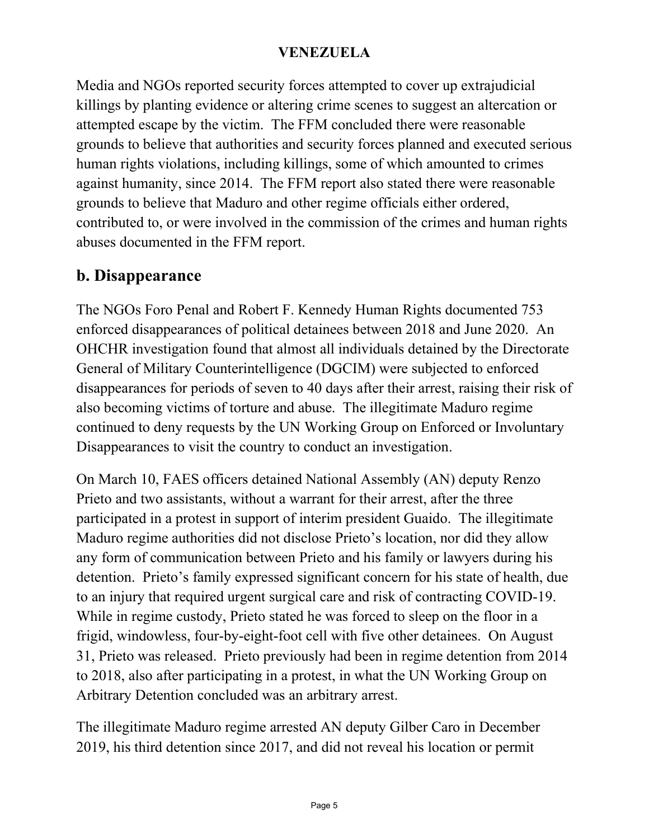Media and NGOs reported security forces attempted to cover up extrajudicial killings by planting evidence or altering crime scenes to suggest an altercation or attempted escape by the victim. The FFM concluded there were reasonable grounds to believe that authorities and security forces planned and executed serious human rights violations, including killings, some of which amounted to crimes against humanity, since 2014. The FFM report also stated there were reasonable grounds to believe that Maduro and other regime officials either ordered, contributed to, or were involved in the commission of the crimes and human rights abuses documented in the FFM report.

### **b. Disappearance**

The NGOs Foro Penal and Robert F. Kennedy Human Rights documented 753 enforced disappearances of political detainees between 2018 and June 2020. An OHCHR investigation found that almost all individuals detained by the Directorate General of Military Counterintelligence (DGCIM) were subjected to enforced disappearances for periods of seven to 40 days after their arrest, raising their risk of also becoming victims of torture and abuse. The illegitimate Maduro regime continued to deny requests by the UN Working Group on Enforced or Involuntary Disappearances to visit the country to conduct an investigation.

On March 10, FAES officers detained National Assembly (AN) deputy Renzo Prieto and two assistants, without a warrant for their arrest, after the three participated in a protest in support of interim president Guaido. The illegitimate Maduro regime authorities did not disclose Prieto's location, nor did they allow any form of communication between Prieto and his family or lawyers during his detention. Prieto's family expressed significant concern for his state of health, due to an injury that required urgent surgical care and risk of contracting COVID-19. While in regime custody, Prieto stated he was forced to sleep on the floor in a frigid, windowless, four-by-eight-foot cell with five other detainees. On August 31, Prieto was released. Prieto previously had been in regime detention from 2014 to 2018, also after participating in a protest, in what the UN Working Group on Arbitrary Detention concluded was an arbitrary arrest.

The illegitimate Maduro regime arrested AN deputy Gilber Caro in December 2019, his third detention since 2017, and did not reveal his location or permit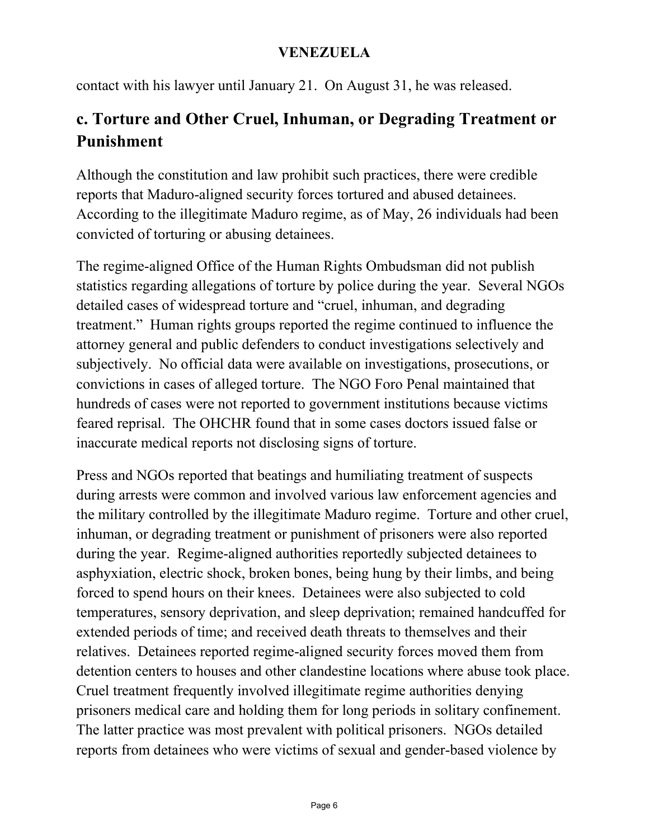contact with his lawyer until January 21. On August 31, he was released.

### **c. Torture and Other Cruel, Inhuman, or Degrading Treatment or Punishment**

Although the constitution and law prohibit such practices, there were credible reports that Maduro-aligned security forces tortured and abused detainees. According to the illegitimate Maduro regime, as of May, 26 individuals had been convicted of torturing or abusing detainees.

The regime-aligned Office of the Human Rights Ombudsman did not publish statistics regarding allegations of torture by police during the year. Several NGOs detailed cases of widespread torture and "cruel, inhuman, and degrading treatment." Human rights groups reported the regime continued to influence the attorney general and public defenders to conduct investigations selectively and subjectively. No official data were available on investigations, prosecutions, or convictions in cases of alleged torture. The NGO Foro Penal maintained that hundreds of cases were not reported to government institutions because victims feared reprisal. The OHCHR found that in some cases doctors issued false or inaccurate medical reports not disclosing signs of torture.

Press and NGOs reported that beatings and humiliating treatment of suspects during arrests were common and involved various law enforcement agencies and the military controlled by the illegitimate Maduro regime. Torture and other cruel, inhuman, or degrading treatment or punishment of prisoners were also reported during the year. Regime-aligned authorities reportedly subjected detainees to asphyxiation, electric shock, broken bones, being hung by their limbs, and being forced to spend hours on their knees. Detainees were also subjected to cold temperatures, sensory deprivation, and sleep deprivation; remained handcuffed for extended periods of time; and received death threats to themselves and their relatives. Detainees reported regime-aligned security forces moved them from detention centers to houses and other clandestine locations where abuse took place. Cruel treatment frequently involved illegitimate regime authorities denying prisoners medical care and holding them for long periods in solitary confinement. The latter practice was most prevalent with political prisoners. NGOs detailed reports from detainees who were victims of sexual and gender-based violence by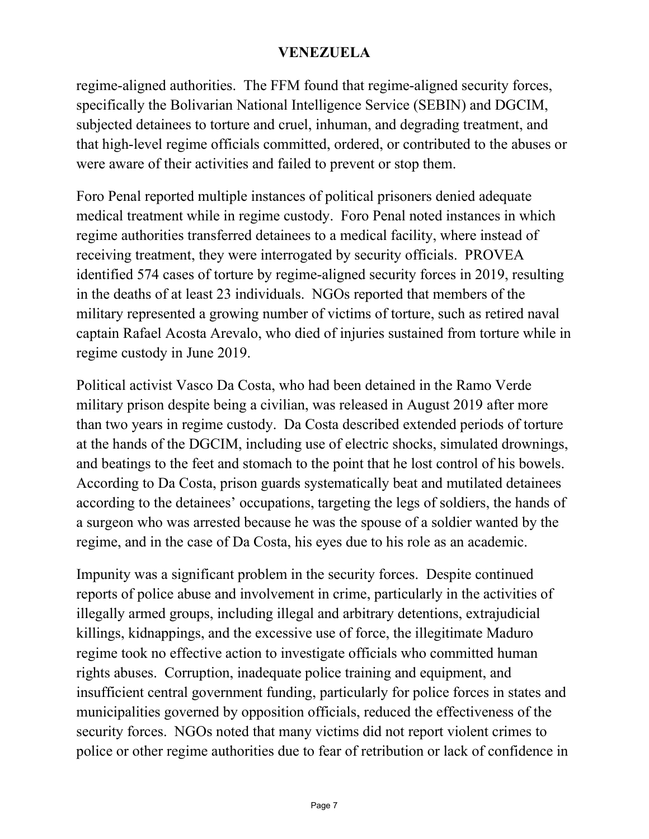regime-aligned authorities. The FFM found that regime-aligned security forces, specifically the Bolivarian National Intelligence Service (SEBIN) and DGCIM, subjected detainees to torture and cruel, inhuman, and degrading treatment, and that high-level regime officials committed, ordered, or contributed to the abuses or were aware of their activities and failed to prevent or stop them.

Foro Penal reported multiple instances of political prisoners denied adequate medical treatment while in regime custody. Foro Penal noted instances in which regime authorities transferred detainees to a medical facility, where instead of receiving treatment, they were interrogated by security officials. PROVEA identified 574 cases of torture by regime-aligned security forces in 2019, resulting in the deaths of at least 23 individuals. NGOs reported that members of the military represented a growing number of victims of torture, such as retired naval captain Rafael Acosta Arevalo, who died of injuries sustained from torture while in regime custody in June 2019.

Political activist Vasco Da Costa, who had been detained in the Ramo Verde military prison despite being a civilian, was released in August 2019 after more than two years in regime custody. Da Costa described extended periods of torture at the hands of the DGCIM, including use of electric shocks, simulated drownings, and beatings to the feet and stomach to the point that he lost control of his bowels. According to Da Costa, prison guards systematically beat and mutilated detainees according to the detainees' occupations, targeting the legs of soldiers, the hands of a surgeon who was arrested because he was the spouse of a soldier wanted by the regime, and in the case of Da Costa, his eyes due to his role as an academic.

Impunity was a significant problem in the security forces. Despite continued reports of police abuse and involvement in crime, particularly in the activities of illegally armed groups, including illegal and arbitrary detentions, extrajudicial killings, kidnappings, and the excessive use of force, the illegitimate Maduro regime took no effective action to investigate officials who committed human rights abuses. Corruption, inadequate police training and equipment, and insufficient central government funding, particularly for police forces in states and municipalities governed by opposition officials, reduced the effectiveness of the security forces. NGOs noted that many victims did not report violent crimes to police or other regime authorities due to fear of retribution or lack of confidence in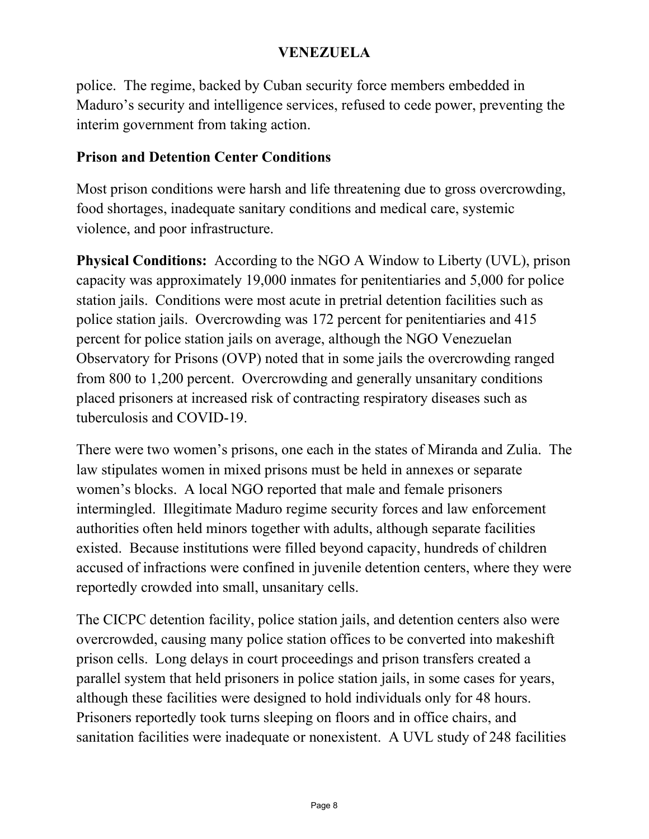police. The regime, backed by Cuban security force members embedded in Maduro's security and intelligence services, refused to cede power, preventing the interim government from taking action.

#### **Prison and Detention Center Conditions**

Most prison conditions were harsh and life threatening due to gross overcrowding, food shortages, inadequate sanitary conditions and medical care, systemic violence, and poor infrastructure.

**Physical Conditions:** According to the NGO A Window to Liberty (UVL), prison capacity was approximately 19,000 inmates for penitentiaries and 5,000 for police station jails. Conditions were most acute in pretrial detention facilities such as police station jails. Overcrowding was 172 percent for penitentiaries and 415 percent for police station jails on average, although the NGO Venezuelan Observatory for Prisons (OVP) noted that in some jails the overcrowding ranged from 800 to 1,200 percent. Overcrowding and generally unsanitary conditions placed prisoners at increased risk of contracting respiratory diseases such as tuberculosis and COVID-19.

There were two women's prisons, one each in the states of Miranda and Zulia. The law stipulates women in mixed prisons must be held in annexes or separate women's blocks. A local NGO reported that male and female prisoners intermingled. Illegitimate Maduro regime security forces and law enforcement authorities often held minors together with adults, although separate facilities existed. Because institutions were filled beyond capacity, hundreds of children accused of infractions were confined in juvenile detention centers, where they were reportedly crowded into small, unsanitary cells.

The CICPC detention facility, police station jails, and detention centers also were overcrowded, causing many police station offices to be converted into makeshift prison cells. Long delays in court proceedings and prison transfers created a parallel system that held prisoners in police station jails, in some cases for years, although these facilities were designed to hold individuals only for 48 hours. Prisoners reportedly took turns sleeping on floors and in office chairs, and sanitation facilities were inadequate or nonexistent. A UVL study of 248 facilities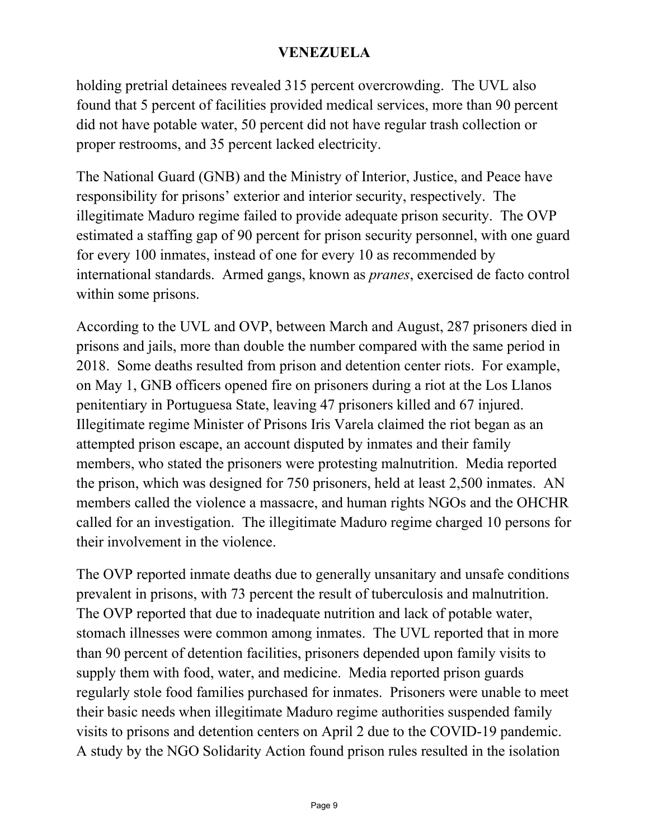holding pretrial detainees revealed 315 percent overcrowding. The UVL also found that 5 percent of facilities provided medical services, more than 90 percent did not have potable water, 50 percent did not have regular trash collection or proper restrooms, and 35 percent lacked electricity.

The National Guard (GNB) and the Ministry of Interior, Justice, and Peace have responsibility for prisons' exterior and interior security, respectively. The illegitimate Maduro regime failed to provide adequate prison security. The OVP estimated a staffing gap of 90 percent for prison security personnel, with one guard for every 100 inmates, instead of one for every 10 as recommended by international standards. Armed gangs, known as *pranes*, exercised de facto control within some prisons.

According to the UVL and OVP, between March and August, 287 prisoners died in prisons and jails, more than double the number compared with the same period in 2018. Some deaths resulted from prison and detention center riots. For example, on May 1, GNB officers opened fire on prisoners during a riot at the Los Llanos penitentiary in Portuguesa State, leaving 47 prisoners killed and 67 injured. Illegitimate regime Minister of Prisons Iris Varela claimed the riot began as an attempted prison escape, an account disputed by inmates and their family members, who stated the prisoners were protesting malnutrition. Media reported the prison, which was designed for 750 prisoners, held at least 2,500 inmates. AN members called the violence a massacre, and human rights NGOs and the OHCHR called for an investigation. The illegitimate Maduro regime charged 10 persons for their involvement in the violence.

The OVP reported inmate deaths due to generally unsanitary and unsafe conditions prevalent in prisons, with 73 percent the result of tuberculosis and malnutrition. The OVP reported that due to inadequate nutrition and lack of potable water, stomach illnesses were common among inmates. The UVL reported that in more than 90 percent of detention facilities, prisoners depended upon family visits to supply them with food, water, and medicine. Media reported prison guards regularly stole food families purchased for inmates. Prisoners were unable to meet their basic needs when illegitimate Maduro regime authorities suspended family visits to prisons and detention centers on April 2 due to the COVID-19 pandemic. A study by the NGO Solidarity Action found prison rules resulted in the isolation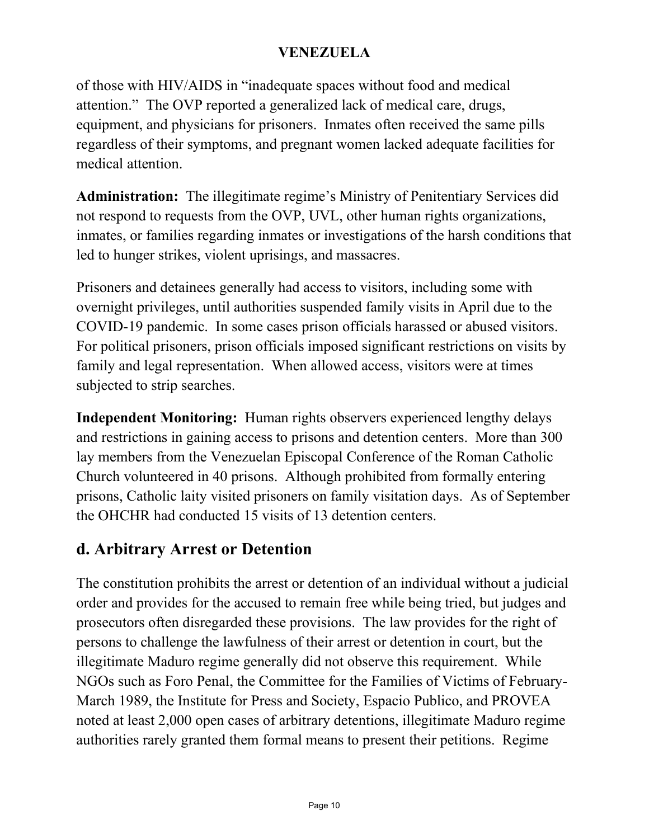of those with HIV/AIDS in "inadequate spaces without food and medical attention." The OVP reported a generalized lack of medical care, drugs, equipment, and physicians for prisoners. Inmates often received the same pills regardless of their symptoms, and pregnant women lacked adequate facilities for medical attention.

**Administration:** The illegitimate regime's Ministry of Penitentiary Services did not respond to requests from the OVP, UVL, other human rights organizations, inmates, or families regarding inmates or investigations of the harsh conditions that led to hunger strikes, violent uprisings, and massacres.

Prisoners and detainees generally had access to visitors, including some with overnight privileges, until authorities suspended family visits in April due to the COVID-19 pandemic. In some cases prison officials harassed or abused visitors. For political prisoners, prison officials imposed significant restrictions on visits by family and legal representation. When allowed access, visitors were at times subjected to strip searches.

**Independent Monitoring:** Human rights observers experienced lengthy delays and restrictions in gaining access to prisons and detention centers. More than 300 lay members from the Venezuelan Episcopal Conference of the Roman Catholic Church volunteered in 40 prisons. Although prohibited from formally entering prisons, Catholic laity visited prisoners on family visitation days. As of September the OHCHR had conducted 15 visits of 13 detention centers.

### **d. Arbitrary Arrest or Detention**

The constitution prohibits the arrest or detention of an individual without a judicial order and provides for the accused to remain free while being tried, but judges and prosecutors often disregarded these provisions. The law provides for the right of persons to challenge the lawfulness of their arrest or detention in court, but the illegitimate Maduro regime generally did not observe this requirement. While NGOs such as Foro Penal, the Committee for the Families of Victims of February-March 1989, the Institute for Press and Society, Espacio Publico, and PROVEA noted at least 2,000 open cases of arbitrary detentions, illegitimate Maduro regime authorities rarely granted them formal means to present their petitions. Regime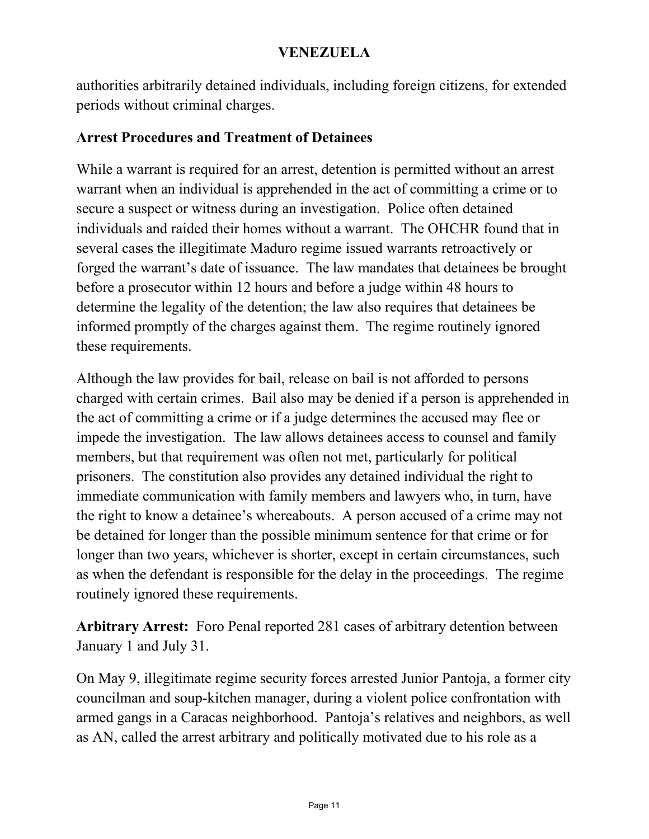authorities arbitrarily detained individuals, including foreign citizens, for extended periods without criminal charges.

#### **Arrest Procedures and Treatment of Detainees**

While a warrant is required for an arrest, detention is permitted without an arrest warrant when an individual is apprehended in the act of committing a crime or to secure a suspect or witness during an investigation. Police often detained individuals and raided their homes without a warrant. The OHCHR found that in several cases the illegitimate Maduro regime issued warrants retroactively or forged the warrant's date of issuance. The law mandates that detainees be brought before a prosecutor within 12 hours and before a judge within 48 hours to determine the legality of the detention; the law also requires that detainees be informed promptly of the charges against them. The regime routinely ignored these requirements.

Although the law provides for bail, release on bail is not afforded to persons charged with certain crimes. Bail also may be denied if a person is apprehended in the act of committing a crime or if a judge determines the accused may flee or impede the investigation. The law allows detainees access to counsel and family members, but that requirement was often not met, particularly for political prisoners. The constitution also provides any detained individual the right to immediate communication with family members and lawyers who, in turn, have the right to know a detainee's whereabouts. A person accused of a crime may not be detained for longer than the possible minimum sentence for that crime or for longer than two years, whichever is shorter, except in certain circumstances, such as when the defendant is responsible for the delay in the proceedings. The regime routinely ignored these requirements.

**Arbitrary Arrest:** Foro Penal reported 281 cases of arbitrary detention between January 1 and July 31.

On May 9, illegitimate regime security forces arrested Junior Pantoja, a former city councilman and soup-kitchen manager, during a violent police confrontation with armed gangs in a Caracas neighborhood. Pantoja's relatives and neighbors, as well as AN, called the arrest arbitrary and politically motivated due to his role as a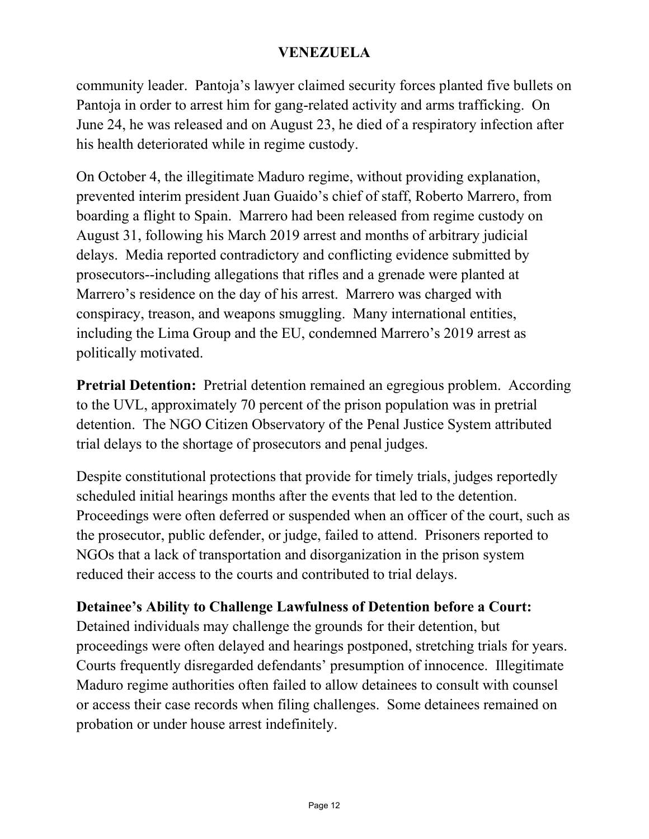community leader. Pantoja's lawyer claimed security forces planted five bullets on Pantoja in order to arrest him for gang-related activity and arms trafficking. On June 24, he was released and on August 23, he died of a respiratory infection after his health deteriorated while in regime custody.

On October 4, the illegitimate Maduro regime, without providing explanation, prevented interim president Juan Guaido's chief of staff, Roberto Marrero, from boarding a flight to Spain. Marrero had been released from regime custody on August 31, following his March 2019 arrest and months of arbitrary judicial delays. Media reported contradictory and conflicting evidence submitted by prosecutors--including allegations that rifles and a grenade were planted at Marrero's residence on the day of his arrest. Marrero was charged with conspiracy, treason, and weapons smuggling. Many international entities, including the Lima Group and the EU, condemned Marrero's 2019 arrest as politically motivated.

**Pretrial Detention:** Pretrial detention remained an egregious problem. According to the UVL, approximately 70 percent of the prison population was in pretrial detention. The NGO Citizen Observatory of the Penal Justice System attributed trial delays to the shortage of prosecutors and penal judges.

Despite constitutional protections that provide for timely trials, judges reportedly scheduled initial hearings months after the events that led to the detention. Proceedings were often deferred or suspended when an officer of the court, such as the prosecutor, public defender, or judge, failed to attend. Prisoners reported to NGOs that a lack of transportation and disorganization in the prison system reduced their access to the courts and contributed to trial delays.

#### **Detainee's Ability to Challenge Lawfulness of Detention before a Court:**

Detained individuals may challenge the grounds for their detention, but proceedings were often delayed and hearings postponed, stretching trials for years. Courts frequently disregarded defendants' presumption of innocence. Illegitimate Maduro regime authorities often failed to allow detainees to consult with counsel or access their case records when filing challenges. Some detainees remained on probation or under house arrest indefinitely.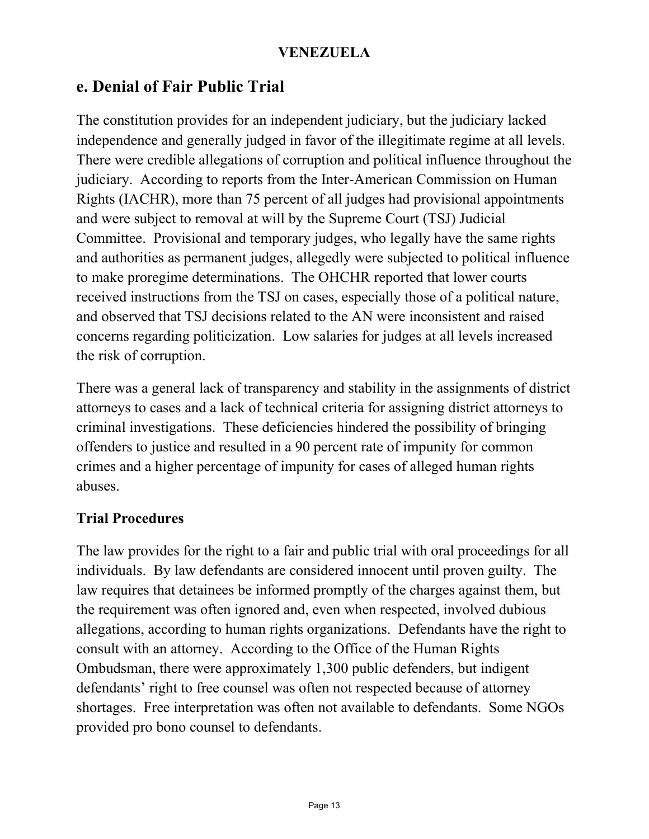### **e. Denial of Fair Public Trial**

The constitution provides for an independent judiciary, but the judiciary lacked independence and generally judged in favor of the illegitimate regime at all levels. There were credible allegations of corruption and political influence throughout the judiciary. According to reports from the Inter-American Commission on Human Rights (IACHR), more than 75 percent of all judges had provisional appointments and were subject to removal at will by the Supreme Court (TSJ) Judicial Committee. Provisional and temporary judges, who legally have the same rights and authorities as permanent judges, allegedly were subjected to political influence to make proregime determinations. The OHCHR reported that lower courts received instructions from the TSJ on cases, especially those of a political nature, and observed that TSJ decisions related to the AN were inconsistent and raised concerns regarding politicization. Low salaries for judges at all levels increased the risk of corruption.

There was a general lack of transparency and stability in the assignments of district attorneys to cases and a lack of technical criteria for assigning district attorneys to criminal investigations. These deficiencies hindered the possibility of bringing offenders to justice and resulted in a 90 percent rate of impunity for common crimes and a higher percentage of impunity for cases of alleged human rights abuses.

#### **Trial Procedures**

The law provides for the right to a fair and public trial with oral proceedings for all individuals. By law defendants are considered innocent until proven guilty. The law requires that detainees be informed promptly of the charges against them, but the requirement was often ignored and, even when respected, involved dubious allegations, according to human rights organizations. Defendants have the right to consult with an attorney. According to the Office of the Human Rights Ombudsman, there were approximately 1,300 public defenders, but indigent defendants' right to free counsel was often not respected because of attorney shortages. Free interpretation was often not available to defendants. Some NGOs provided pro bono counsel to defendants.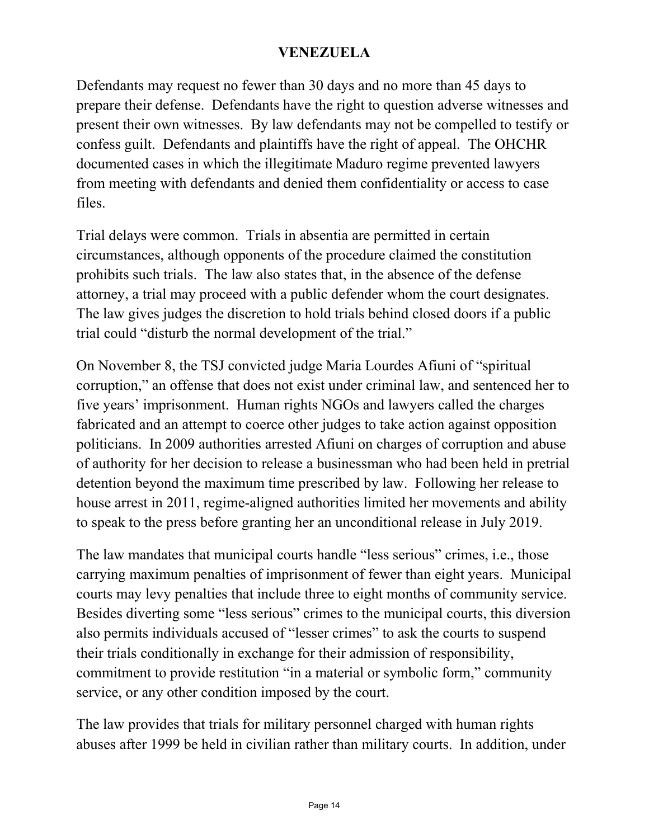Defendants may request no fewer than 30 days and no more than 45 days to prepare their defense. Defendants have the right to question adverse witnesses and present their own witnesses. By law defendants may not be compelled to testify or confess guilt. Defendants and plaintiffs have the right of appeal. The OHCHR documented cases in which the illegitimate Maduro regime prevented lawyers from meeting with defendants and denied them confidentiality or access to case files.

Trial delays were common. Trials in absentia are permitted in certain circumstances, although opponents of the procedure claimed the constitution prohibits such trials. The law also states that, in the absence of the defense attorney, a trial may proceed with a public defender whom the court designates. The law gives judges the discretion to hold trials behind closed doors if a public trial could "disturb the normal development of the trial."

On November 8, the TSJ convicted judge Maria Lourdes Afiuni of "spiritual corruption," an offense that does not exist under criminal law, and sentenced her to five years' imprisonment. Human rights NGOs and lawyers called the charges fabricated and an attempt to coerce other judges to take action against opposition politicians. In 2009 authorities arrested Afiuni on charges of corruption and abuse of authority for her decision to release a businessman who had been held in pretrial detention beyond the maximum time prescribed by law. Following her release to house arrest in 2011, regime-aligned authorities limited her movements and ability to speak to the press before granting her an unconditional release in July 2019.

The law mandates that municipal courts handle "less serious" crimes, i.e., those carrying maximum penalties of imprisonment of fewer than eight years. Municipal courts may levy penalties that include three to eight months of community service. Besides diverting some "less serious" crimes to the municipal courts, this diversion also permits individuals accused of "lesser crimes" to ask the courts to suspend their trials conditionally in exchange for their admission of responsibility, commitment to provide restitution "in a material or symbolic form," community service, or any other condition imposed by the court.

The law provides that trials for military personnel charged with human rights abuses after 1999 be held in civilian rather than military courts. In addition, under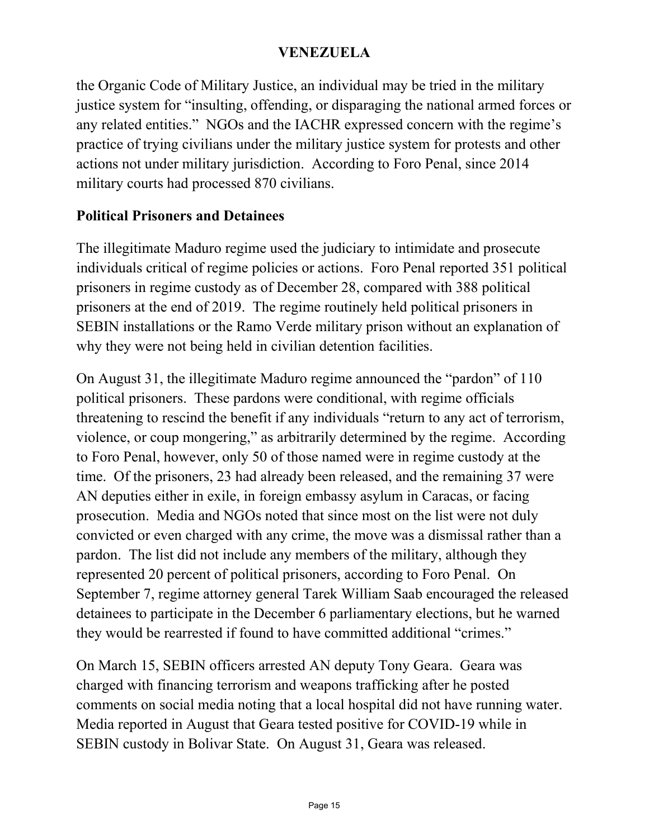the Organic Code of Military Justice, an individual may be tried in the military justice system for "insulting, offending, or disparaging the national armed forces or any related entities." NGOs and the IACHR expressed concern with the regime's practice of trying civilians under the military justice system for protests and other actions not under military jurisdiction. According to Foro Penal, since 2014 military courts had processed 870 civilians.

#### **Political Prisoners and Detainees**

The illegitimate Maduro regime used the judiciary to intimidate and prosecute individuals critical of regime policies or actions. Foro Penal reported 351 political prisoners in regime custody as of December 28, compared with 388 political prisoners at the end of 2019. The regime routinely held political prisoners in SEBIN installations or the Ramo Verde military prison without an explanation of why they were not being held in civilian detention facilities.

On August 31, the illegitimate Maduro regime announced the "pardon" of 110 political prisoners. These pardons were conditional, with regime officials threatening to rescind the benefit if any individuals "return to any act of terrorism, violence, or coup mongering," as arbitrarily determined by the regime. According to Foro Penal, however, only 50 of those named were in regime custody at the time. Of the prisoners, 23 had already been released, and the remaining 37 were AN deputies either in exile, in foreign embassy asylum in Caracas, or facing prosecution. Media and NGOs noted that since most on the list were not duly convicted or even charged with any crime, the move was a dismissal rather than a pardon. The list did not include any members of the military, although they represented 20 percent of political prisoners, according to Foro Penal. On September 7, regime attorney general Tarek William Saab encouraged the released detainees to participate in the December 6 parliamentary elections, but he warned they would be rearrested if found to have committed additional "crimes."

On March 15, SEBIN officers arrested AN deputy Tony Geara. Geara was charged with financing terrorism and weapons trafficking after he posted comments on social media noting that a local hospital did not have running water. Media reported in August that Geara tested positive for COVID-19 while in SEBIN custody in Bolivar State. On August 31, Geara was released.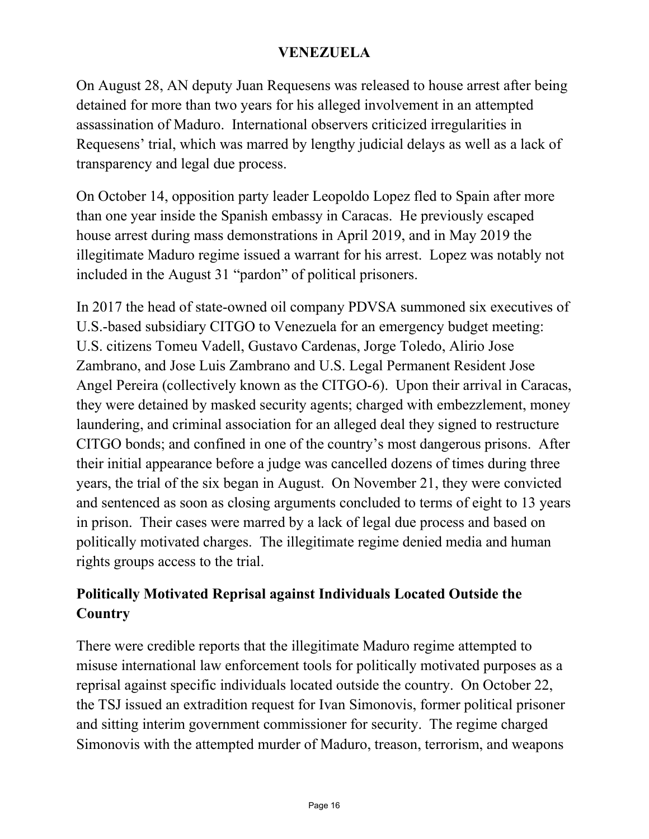On August 28, AN deputy Juan Requesens was released to house arrest after being detained for more than two years for his alleged involvement in an attempted assassination of Maduro. International observers criticized irregularities in Requesens' trial, which was marred by lengthy judicial delays as well as a lack of transparency and legal due process.

On October 14, opposition party leader Leopoldo Lopez fled to Spain after more than one year inside the Spanish embassy in Caracas. He previously escaped house arrest during mass demonstrations in April 2019, and in May 2019 the illegitimate Maduro regime issued a warrant for his arrest. Lopez was notably not included in the August 31 "pardon" of political prisoners.

In 2017 the head of state-owned oil company PDVSA summoned six executives of U.S.-based subsidiary CITGO to Venezuela for an emergency budget meeting: U.S. citizens Tomeu Vadell, Gustavo Cardenas, Jorge Toledo, Alirio Jose Zambrano, and Jose Luis Zambrano and U.S. Legal Permanent Resident Jose Angel Pereira (collectively known as the CITGO-6). Upon their arrival in Caracas, they were detained by masked security agents; charged with embezzlement, money laundering, and criminal association for an alleged deal they signed to restructure CITGO bonds; and confined in one of the country's most dangerous prisons. After their initial appearance before a judge was cancelled dozens of times during three years, the trial of the six began in August. On November 21, they were convicted and sentenced as soon as closing arguments concluded to terms of eight to 13 years in prison. Their cases were marred by a lack of legal due process and based on politically motivated charges. The illegitimate regime denied media and human rights groups access to the trial.

### **Politically Motivated Reprisal against Individuals Located Outside the Country**

There were credible reports that the illegitimate Maduro regime attempted to misuse international law enforcement tools for politically motivated purposes as a reprisal against specific individuals located outside the country. On October 22, the TSJ issued an extradition request for Ivan Simonovis, former political prisoner and sitting interim government commissioner for security. The regime charged Simonovis with the attempted murder of Maduro, treason, terrorism, and weapons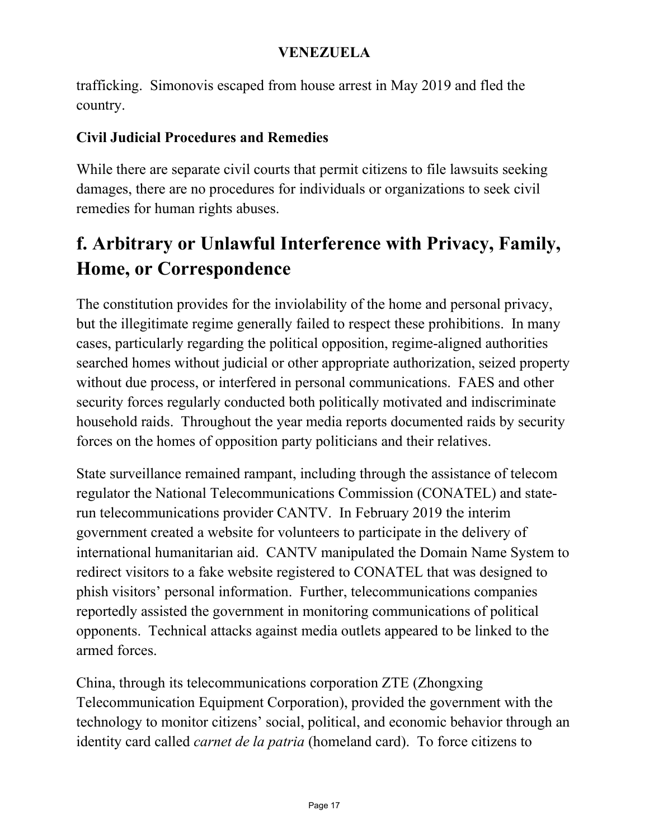trafficking. Simonovis escaped from house arrest in May 2019 and fled the country.

#### **Civil Judicial Procedures and Remedies**

While there are separate civil courts that permit citizens to file lawsuits seeking damages, there are no procedures for individuals or organizations to seek civil remedies for human rights abuses.

# **f. Arbitrary or Unlawful Interference with Privacy, Family, Home, or Correspondence**

The constitution provides for the inviolability of the home and personal privacy, but the illegitimate regime generally failed to respect these prohibitions. In many cases, particularly regarding the political opposition, regime-aligned authorities searched homes without judicial or other appropriate authorization, seized property without due process, or interfered in personal communications. FAES and other security forces regularly conducted both politically motivated and indiscriminate household raids. Throughout the year media reports documented raids by security forces on the homes of opposition party politicians and their relatives.

State surveillance remained rampant, including through the assistance of telecom regulator the National Telecommunications Commission (CONATEL) and staterun telecommunications provider CANTV. In February 2019 the interim government created a website for volunteers to participate in the delivery of international humanitarian aid. CANTV manipulated the Domain Name System to redirect visitors to a fake website registered to CONATEL that was designed to phish visitors' personal information. Further, telecommunications companies reportedly assisted the government in monitoring communications of political opponents. Technical attacks against media outlets appeared to be linked to the armed forces.

China, through its telecommunications corporation ZTE (Zhongxing Telecommunication Equipment Corporation), provided the government with the technology to monitor citizens' social, political, and economic behavior through an identity card called *carnet de la patria* (homeland card). To force citizens to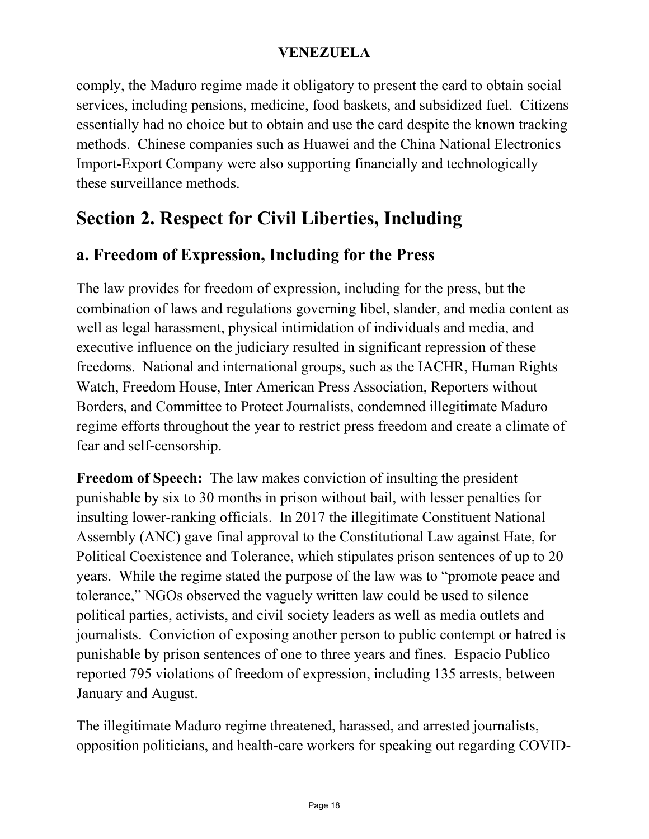comply, the Maduro regime made it obligatory to present the card to obtain social services, including pensions, medicine, food baskets, and subsidized fuel. Citizens essentially had no choice but to obtain and use the card despite the known tracking methods. Chinese companies such as Huawei and the China National Electronics Import-Export Company were also supporting financially and technologically these surveillance methods.

# **Section 2. Respect for Civil Liberties, Including**

### **a. Freedom of Expression, Including for the Press**

The law provides for freedom of expression, including for the press, but the combination of laws and regulations governing libel, slander, and media content as well as legal harassment, physical intimidation of individuals and media, and executive influence on the judiciary resulted in significant repression of these freedoms. National and international groups, such as the IACHR, Human Rights Watch, Freedom House, Inter American Press Association, Reporters without Borders, and Committee to Protect Journalists, condemned illegitimate Maduro regime efforts throughout the year to restrict press freedom and create a climate of fear and self-censorship.

**Freedom of Speech:** The law makes conviction of insulting the president punishable by six to 30 months in prison without bail, with lesser penalties for insulting lower-ranking officials. In 2017 the illegitimate Constituent National Assembly (ANC) gave final approval to the Constitutional Law against Hate, for Political Coexistence and Tolerance, which stipulates prison sentences of up to 20 years. While the regime stated the purpose of the law was to "promote peace and tolerance," NGOs observed the vaguely written law could be used to silence political parties, activists, and civil society leaders as well as media outlets and journalists. Conviction of exposing another person to public contempt or hatred is punishable by prison sentences of one to three years and fines. Espacio Publico reported 795 violations of freedom of expression, including 135 arrests, between January and August.

The illegitimate Maduro regime threatened, harassed, and arrested journalists, opposition politicians, and health-care workers for speaking out regarding COVID-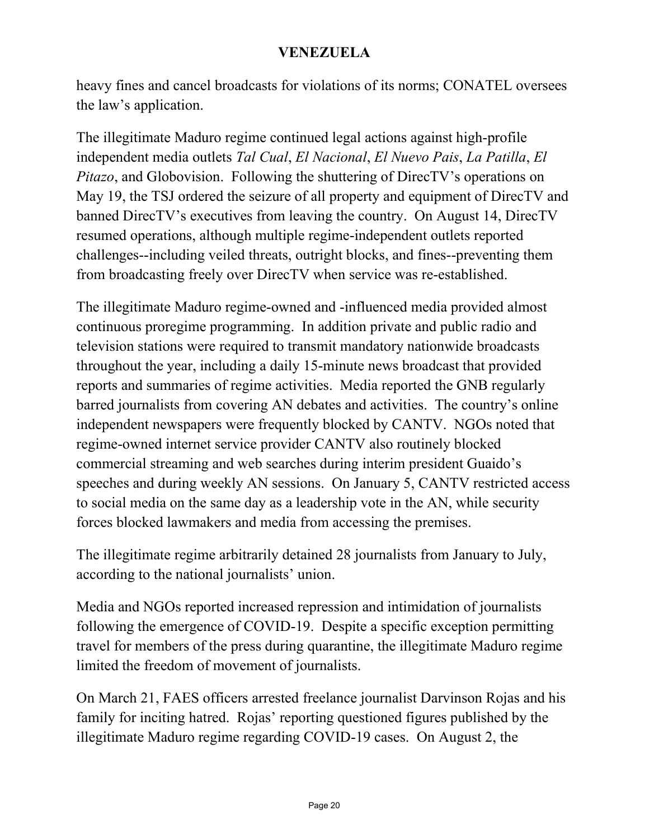heavy fines and cancel broadcasts for violations of its norms; CONATEL oversees the law's application.

The illegitimate Maduro regime continued legal actions against high-profile independent media outlets *Tal Cual*, *El Nacional*, *El Nuevo Pais*, *La Patilla*, *El Pitazo*, and Globovision. Following the shuttering of DirecTV's operations on May 19, the TSJ ordered the seizure of all property and equipment of DirecTV and banned DirecTV's executives from leaving the country. On August 14, DirecTV resumed operations, although multiple regime-independent outlets reported challenges--including veiled threats, outright blocks, and fines--preventing them from broadcasting freely over DirecTV when service was re-established.

The illegitimate Maduro regime-owned and -influenced media provided almost continuous proregime programming. In addition private and public radio and television stations were required to transmit mandatory nationwide broadcasts throughout the year, including a daily 15-minute news broadcast that provided reports and summaries of regime activities. Media reported the GNB regularly barred journalists from covering AN debates and activities. The country's online independent newspapers were frequently blocked by CANTV. NGOs noted that regime-owned internet service provider CANTV also routinely blocked commercial streaming and web searches during interim president Guaido's speeches and during weekly AN sessions. On January 5, CANTV restricted access to social media on the same day as a leadership vote in the AN, while security forces blocked lawmakers and media from accessing the premises.

The illegitimate regime arbitrarily detained 28 journalists from January to July, according to the national journalists' union.

Media and NGOs reported increased repression and intimidation of journalists following the emergence of COVID-19. Despite a specific exception permitting travel for members of the press during quarantine, the illegitimate Maduro regime limited the freedom of movement of journalists.

On March 21, FAES officers arrested freelance journalist Darvinson Rojas and his family for inciting hatred. Rojas' reporting questioned figures published by the illegitimate Maduro regime regarding COVID-19 cases. On August 2, the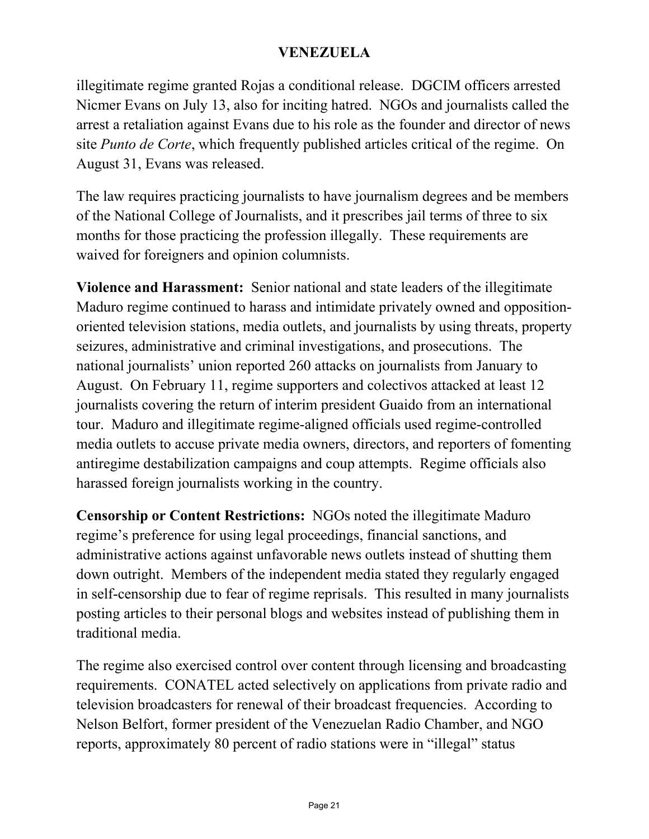illegitimate regime granted Rojas a conditional release. DGCIM officers arrested Nicmer Evans on July 13, also for inciting hatred. NGOs and journalists called the arrest a retaliation against Evans due to his role as the founder and director of news site *Punto de Corte*, which frequently published articles critical of the regime. On August 31, Evans was released.

The law requires practicing journalists to have journalism degrees and be members of the National College of Journalists, and it prescribes jail terms of three to six months for those practicing the profession illegally. These requirements are waived for foreigners and opinion columnists.

**Violence and Harassment:** Senior national and state leaders of the illegitimate Maduro regime continued to harass and intimidate privately owned and oppositionoriented television stations, media outlets, and journalists by using threats, property seizures, administrative and criminal investigations, and prosecutions. The national journalists' union reported 260 attacks on journalists from January to August. On February 11, regime supporters and colectivos attacked at least 12 journalists covering the return of interim president Guaido from an international tour. Maduro and illegitimate regime-aligned officials used regime-controlled media outlets to accuse private media owners, directors, and reporters of fomenting antiregime destabilization campaigns and coup attempts. Regime officials also harassed foreign journalists working in the country.

**Censorship or Content Restrictions:** NGOs noted the illegitimate Maduro regime's preference for using legal proceedings, financial sanctions, and administrative actions against unfavorable news outlets instead of shutting them down outright. Members of the independent media stated they regularly engaged in self-censorship due to fear of regime reprisals. This resulted in many journalists posting articles to their personal blogs and websites instead of publishing them in traditional media.

The regime also exercised control over content through licensing and broadcasting requirements. CONATEL acted selectively on applications from private radio and television broadcasters for renewal of their broadcast frequencies. According to Nelson Belfort, former president of the Venezuelan Radio Chamber, and NGO reports, approximately 80 percent of radio stations were in "illegal" status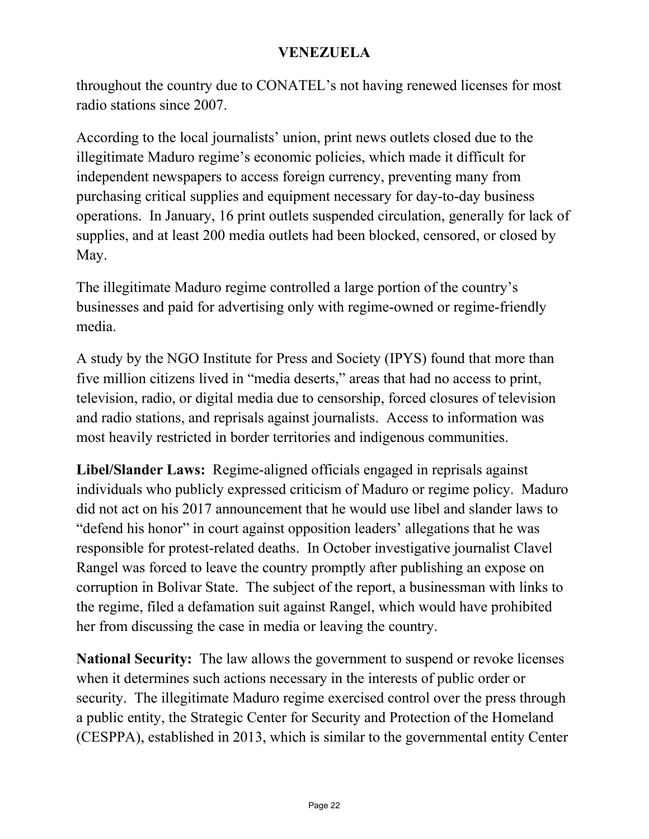throughout the country due to CONATEL's not having renewed licenses for most radio stations since 2007.

According to the local journalists' union, print news outlets closed due to the illegitimate Maduro regime's economic policies, which made it difficult for independent newspapers to access foreign currency, preventing many from purchasing critical supplies and equipment necessary for day-to-day business operations. In January, 16 print outlets suspended circulation, generally for lack of supplies, and at least 200 media outlets had been blocked, censored, or closed by May.

The illegitimate Maduro regime controlled a large portion of the country's businesses and paid for advertising only with regime-owned or regime-friendly media.

A study by the NGO Institute for Press and Society (IPYS) found that more than five million citizens lived in "media deserts," areas that had no access to print, television, radio, or digital media due to censorship, forced closures of television and radio stations, and reprisals against journalists. Access to information was most heavily restricted in border territories and indigenous communities.

**Libel/Slander Laws:** Regime-aligned officials engaged in reprisals against individuals who publicly expressed criticism of Maduro or regime policy. Maduro did not act on his 2017 announcement that he would use libel and slander laws to "defend his honor" in court against opposition leaders' allegations that he was responsible for protest-related deaths. In October investigative journalist Clavel Rangel was forced to leave the country promptly after publishing an expose on corruption in Bolivar State. The subject of the report, a businessman with links to the regime, filed a defamation suit against Rangel, which would have prohibited her from discussing the case in media or leaving the country.

**National Security:** The law allows the government to suspend or revoke licenses when it determines such actions necessary in the interests of public order or security. The illegitimate Maduro regime exercised control over the press through a public entity, the Strategic Center for Security and Protection of the Homeland (CESPPA), established in 2013, which is similar to the governmental entity Center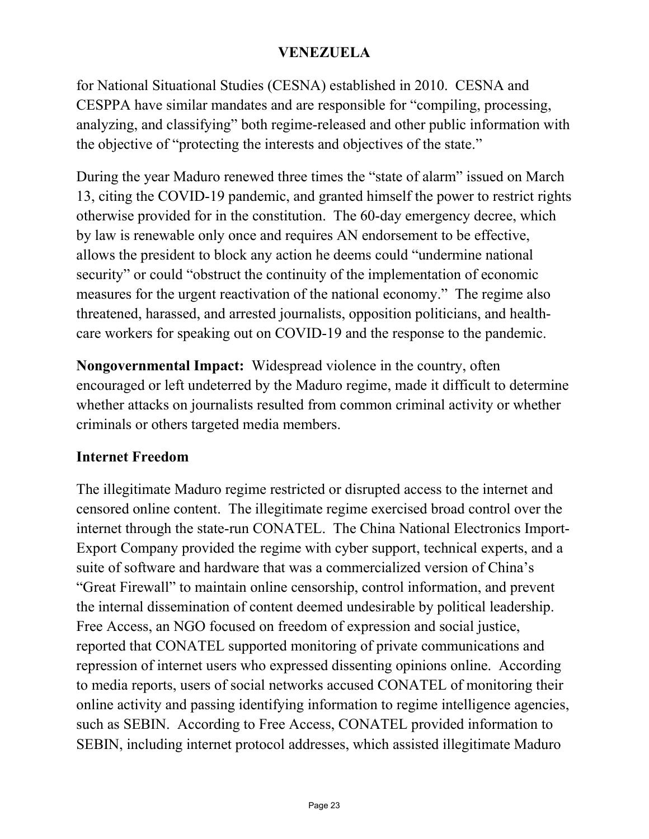for National Situational Studies (CESNA) established in 2010. CESNA and CESPPA have similar mandates and are responsible for "compiling, processing, analyzing, and classifying" both regime-released and other public information with the objective of "protecting the interests and objectives of the state."

During the year Maduro renewed three times the "state of alarm" issued on March 13, citing the COVID-19 pandemic, and granted himself the power to restrict rights otherwise provided for in the constitution. The 60-day emergency decree, which by law is renewable only once and requires AN endorsement to be effective, allows the president to block any action he deems could "undermine national security" or could "obstruct the continuity of the implementation of economic measures for the urgent reactivation of the national economy." The regime also threatened, harassed, and arrested journalists, opposition politicians, and healthcare workers for speaking out on COVID-19 and the response to the pandemic.

**Nongovernmental Impact:** Widespread violence in the country, often encouraged or left undeterred by the Maduro regime, made it difficult to determine whether attacks on journalists resulted from common criminal activity or whether criminals or others targeted media members.

#### **Internet Freedom**

The illegitimate Maduro regime restricted or disrupted access to the internet and censored online content. The illegitimate regime exercised broad control over the internet through the state-run CONATEL. The China National Electronics Import-Export Company provided the regime with cyber support, technical experts, and a suite of software and hardware that was a commercialized version of China's "Great Firewall" to maintain online censorship, control information, and prevent the internal dissemination of content deemed undesirable by political leadership. Free Access, an NGO focused on freedom of expression and social justice, reported that CONATEL supported monitoring of private communications and repression of internet users who expressed dissenting opinions online. According to media reports, users of social networks accused CONATEL of monitoring their online activity and passing identifying information to regime intelligence agencies, such as SEBIN. According to Free Access, CONATEL provided information to SEBIN, including internet protocol addresses, which assisted illegitimate Maduro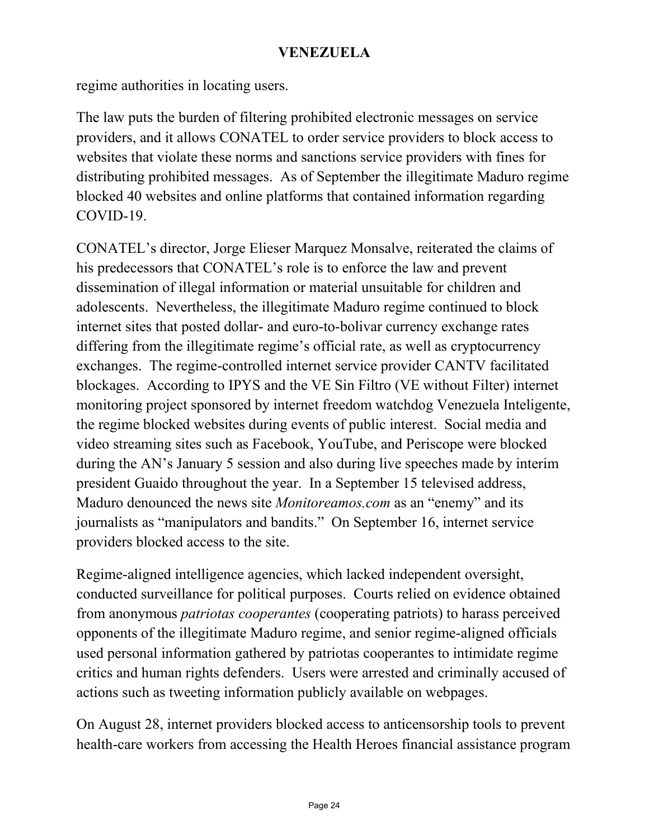regime authorities in locating users.

The law puts the burden of filtering prohibited electronic messages on service providers, and it allows CONATEL to order service providers to block access to websites that violate these norms and sanctions service providers with fines for distributing prohibited messages. As of September the illegitimate Maduro regime blocked 40 websites and online platforms that contained information regarding COVID-19.

CONATEL's director, Jorge Elieser Marquez Monsalve, reiterated the claims of his predecessors that CONATEL's role is to enforce the law and prevent dissemination of illegal information or material unsuitable for children and adolescents. Nevertheless, the illegitimate Maduro regime continued to block internet sites that posted dollar- and euro-to-bolivar currency exchange rates differing from the illegitimate regime's official rate, as well as cryptocurrency exchanges. The regime-controlled internet service provider CANTV facilitated blockages. According to IPYS and the VE Sin Filtro (VE without Filter) internet monitoring project sponsored by internet freedom watchdog Venezuela Inteligente, the regime blocked websites during events of public interest. Social media and video streaming sites such as Facebook, YouTube, and Periscope were blocked during the AN's January 5 session and also during live speeches made by interim president Guaido throughout the year. In a September 15 televised address, Maduro denounced the news site *Monitoreamos.com* as an "enemy" and its journalists as "manipulators and bandits." On September 16, internet service providers blocked access to the site.

Regime-aligned intelligence agencies, which lacked independent oversight, conducted surveillance for political purposes. Courts relied on evidence obtained from anonymous *patriotas cooperantes* (cooperating patriots) to harass perceived opponents of the illegitimate Maduro regime, and senior regime-aligned officials used personal information gathered by patriotas cooperantes to intimidate regime critics and human rights defenders. Users were arrested and criminally accused of actions such as tweeting information publicly available on webpages.

On August 28, internet providers blocked access to anticensorship tools to prevent health-care workers from accessing the Health Heroes financial assistance program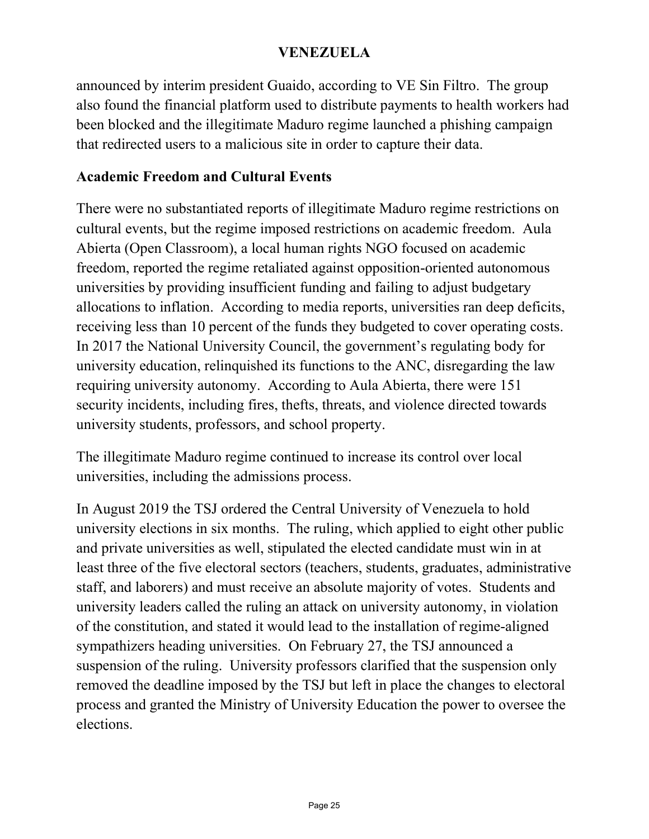announced by interim president Guaido, according to VE Sin Filtro. The group also found the financial platform used to distribute payments to health workers had been blocked and the illegitimate Maduro regime launched a phishing campaign that redirected users to a malicious site in order to capture their data.

#### **Academic Freedom and Cultural Events**

There were no substantiated reports of illegitimate Maduro regime restrictions on cultural events, but the regime imposed restrictions on academic freedom. Aula Abierta (Open Classroom), a local human rights NGO focused on academic freedom, reported the regime retaliated against opposition-oriented autonomous universities by providing insufficient funding and failing to adjust budgetary allocations to inflation. According to media reports, universities ran deep deficits, receiving less than 10 percent of the funds they budgeted to cover operating costs. In 2017 the National University Council, the government's regulating body for university education, relinquished its functions to the ANC, disregarding the law requiring university autonomy. According to Aula Abierta, there were 151 security incidents, including fires, thefts, threats, and violence directed towards university students, professors, and school property.

The illegitimate Maduro regime continued to increase its control over local universities, including the admissions process.

In August 2019 the TSJ ordered the Central University of Venezuela to hold university elections in six months. The ruling, which applied to eight other public and private universities as well, stipulated the elected candidate must win in at least three of the five electoral sectors (teachers, students, graduates, administrative staff, and laborers) and must receive an absolute majority of votes. Students and university leaders called the ruling an attack on university autonomy, in violation of the constitution, and stated it would lead to the installation of regime-aligned sympathizers heading universities. On February 27, the TSJ announced a suspension of the ruling. University professors clarified that the suspension only removed the deadline imposed by the TSJ but left in place the changes to electoral process and granted the Ministry of University Education the power to oversee the elections.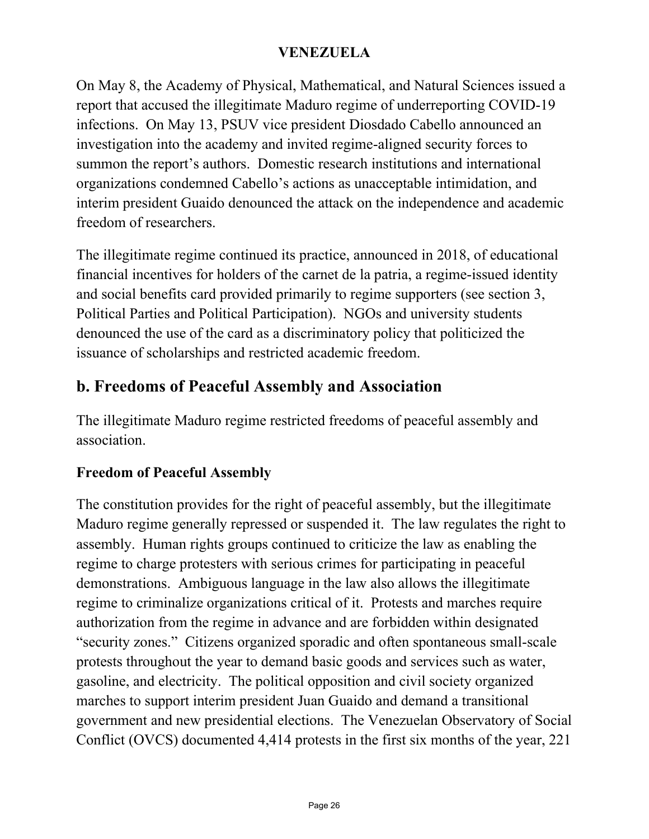On May 8, the Academy of Physical, Mathematical, and Natural Sciences issued a report that accused the illegitimate Maduro regime of underreporting COVID-19 infections. On May 13, PSUV vice president Diosdado Cabello announced an investigation into the academy and invited regime-aligned security forces to summon the report's authors. Domestic research institutions and international organizations condemned Cabello's actions as unacceptable intimidation, and interim president Guaido denounced the attack on the independence and academic freedom of researchers.

The illegitimate regime continued its practice, announced in 2018, of educational financial incentives for holders of the carnet de la patria, a regime-issued identity and social benefits card provided primarily to regime supporters (see section 3, Political Parties and Political Participation). NGOs and university students denounced the use of the card as a discriminatory policy that politicized the issuance of scholarships and restricted academic freedom.

### **b. Freedoms of Peaceful Assembly and Association**

The illegitimate Maduro regime restricted freedoms of peaceful assembly and association.

#### **Freedom of Peaceful Assembly**

The constitution provides for the right of peaceful assembly, but the illegitimate Maduro regime generally repressed or suspended it. The law regulates the right to assembly. Human rights groups continued to criticize the law as enabling the regime to charge protesters with serious crimes for participating in peaceful demonstrations. Ambiguous language in the law also allows the illegitimate regime to criminalize organizations critical of it. Protests and marches require authorization from the regime in advance and are forbidden within designated "security zones." Citizens organized sporadic and often spontaneous small-scale protests throughout the year to demand basic goods and services such as water, gasoline, and electricity. The political opposition and civil society organized marches to support interim president Juan Guaido and demand a transitional government and new presidential elections. The Venezuelan Observatory of Social Conflict (OVCS) documented 4,414 protests in the first six months of the year, 221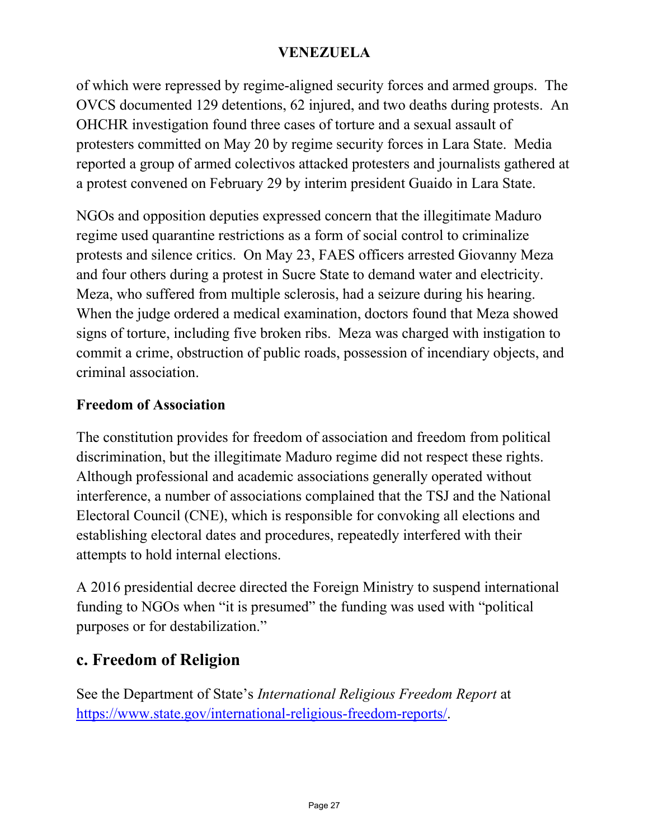of which were repressed by regime-aligned security forces and armed groups. The OVCS documented 129 detentions, 62 injured, and two deaths during protests. An OHCHR investigation found three cases of torture and a sexual assault of protesters committed on May 20 by regime security forces in Lara State. Media reported a group of armed colectivos attacked protesters and journalists gathered at a protest convened on February 29 by interim president Guaido in Lara State.

NGOs and opposition deputies expressed concern that the illegitimate Maduro regime used quarantine restrictions as a form of social control to criminalize protests and silence critics. On May 23, FAES officers arrested Giovanny Meza and four others during a protest in Sucre State to demand water and electricity. Meza, who suffered from multiple sclerosis, had a seizure during his hearing. When the judge ordered a medical examination, doctors found that Meza showed signs of torture, including five broken ribs. Meza was charged with instigation to commit a crime, obstruction of public roads, possession of incendiary objects, and criminal association.

#### **Freedom of Association**

The constitution provides for freedom of association and freedom from political discrimination, but the illegitimate Maduro regime did not respect these rights. Although professional and academic associations generally operated without interference, a number of associations complained that the TSJ and the National Electoral Council (CNE), which is responsible for convoking all elections and establishing electoral dates and procedures, repeatedly interfered with their attempts to hold internal elections.

A 2016 presidential decree directed the Foreign Ministry to suspend international funding to NGOs when "it is presumed" the funding was used with "political purposes or for destabilization."

### **c. Freedom of Religion**

See the Department of State's *International Religious Freedom Report* at [https://www.state.gov/international-religious-freedom-reports/.](https://www.state.gov/international-religious-freedom-reports/)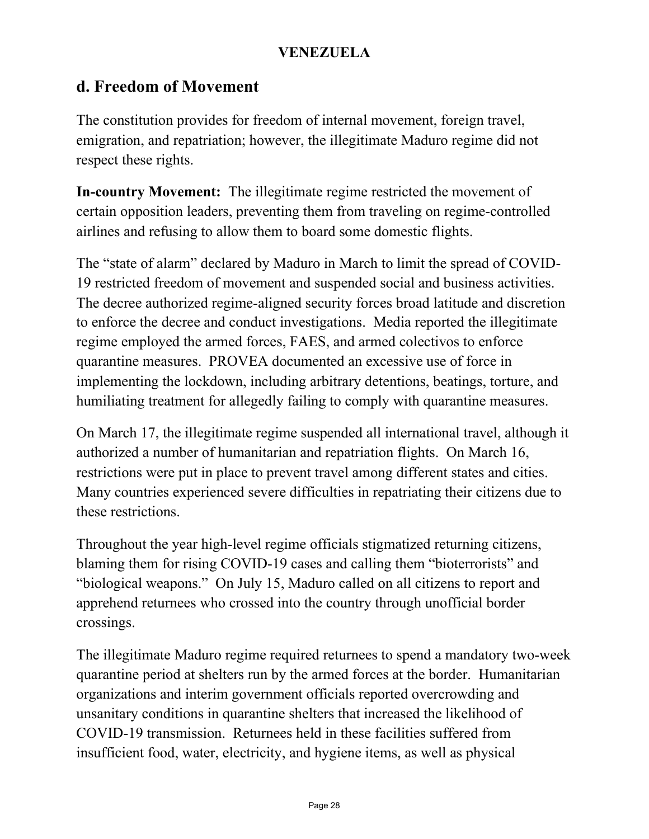### **d. Freedom of Movement**

The constitution provides for freedom of internal movement, foreign travel, emigration, and repatriation; however, the illegitimate Maduro regime did not respect these rights.

**In-country Movement:** The illegitimate regime restricted the movement of certain opposition leaders, preventing them from traveling on regime-controlled airlines and refusing to allow them to board some domestic flights.

The "state of alarm" declared by Maduro in March to limit the spread of COVID-19 restricted freedom of movement and suspended social and business activities. The decree authorized regime-aligned security forces broad latitude and discretion to enforce the decree and conduct investigations. Media reported the illegitimate regime employed the armed forces, FAES, and armed colectivos to enforce quarantine measures. PROVEA documented an excessive use of force in implementing the lockdown, including arbitrary detentions, beatings, torture, and humiliating treatment for allegedly failing to comply with quarantine measures.

On March 17, the illegitimate regime suspended all international travel, although it authorized a number of humanitarian and repatriation flights. On March 16, restrictions were put in place to prevent travel among different states and cities. Many countries experienced severe difficulties in repatriating their citizens due to these restrictions.

Throughout the year high-level regime officials stigmatized returning citizens, blaming them for rising COVID-19 cases and calling them "bioterrorists" and "biological weapons." On July 15, Maduro called on all citizens to report and apprehend returnees who crossed into the country through unofficial border crossings.

The illegitimate Maduro regime required returnees to spend a mandatory two-week quarantine period at shelters run by the armed forces at the border. Humanitarian organizations and interim government officials reported overcrowding and unsanitary conditions in quarantine shelters that increased the likelihood of COVID-19 transmission. Returnees held in these facilities suffered from insufficient food, water, electricity, and hygiene items, as well as physical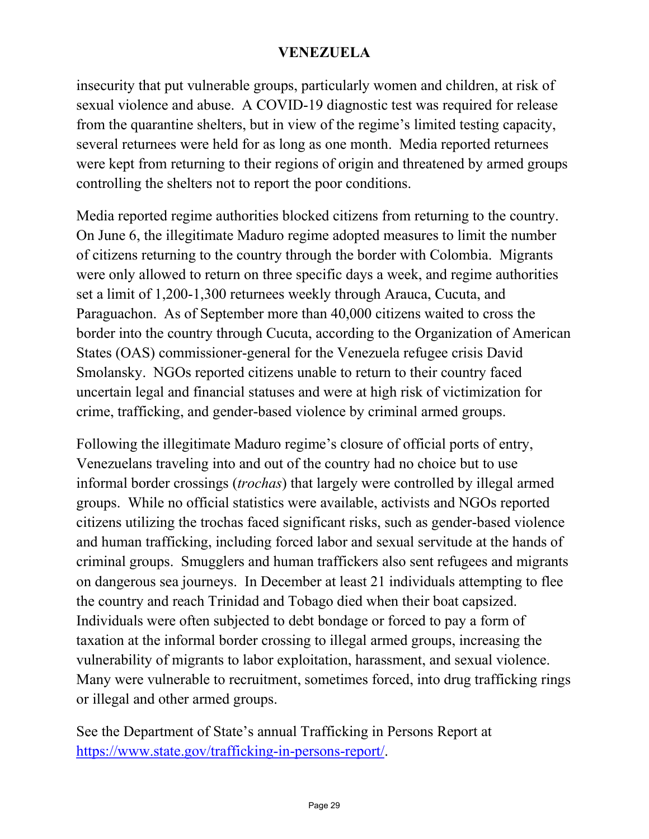insecurity that put vulnerable groups, particularly women and children, at risk of sexual violence and abuse. A COVID-19 diagnostic test was required for release from the quarantine shelters, but in view of the regime's limited testing capacity, several returnees were held for as long as one month. Media reported returnees were kept from returning to their regions of origin and threatened by armed groups controlling the shelters not to report the poor conditions.

Media reported regime authorities blocked citizens from returning to the country. On June 6, the illegitimate Maduro regime adopted measures to limit the number of citizens returning to the country through the border with Colombia. Migrants were only allowed to return on three specific days a week, and regime authorities set a limit of 1,200-1,300 returnees weekly through Arauca, Cucuta, and Paraguachon. As of September more than 40,000 citizens waited to cross the border into the country through Cucuta, according to the Organization of American States (OAS) commissioner-general for the Venezuela refugee crisis David Smolansky. NGOs reported citizens unable to return to their country faced uncertain legal and financial statuses and were at high risk of victimization for crime, trafficking, and gender-based violence by criminal armed groups.

Following the illegitimate Maduro regime's closure of official ports of entry, Venezuelans traveling into and out of the country had no choice but to use informal border crossings (*trochas*) that largely were controlled by illegal armed groups. While no official statistics were available, activists and NGOs reported citizens utilizing the trochas faced significant risks, such as gender-based violence and human trafficking, including forced labor and sexual servitude at the hands of criminal groups. Smugglers and human traffickers also sent refugees and migrants on dangerous sea journeys. In December at least 21 individuals attempting to flee the country and reach Trinidad and Tobago died when their boat capsized. Individuals were often subjected to debt bondage or forced to pay a form of taxation at the informal border crossing to illegal armed groups, increasing the vulnerability of migrants to labor exploitation, harassment, and sexual violence. Many were vulnerable to recruitment, sometimes forced, into drug trafficking rings or illegal and other armed groups.

See the Department of State's annual Trafficking in Persons Report at [https://www.state.gov/trafficking-in-persons-report/.](https://www.state.gov/trafficking-in-persons-report/)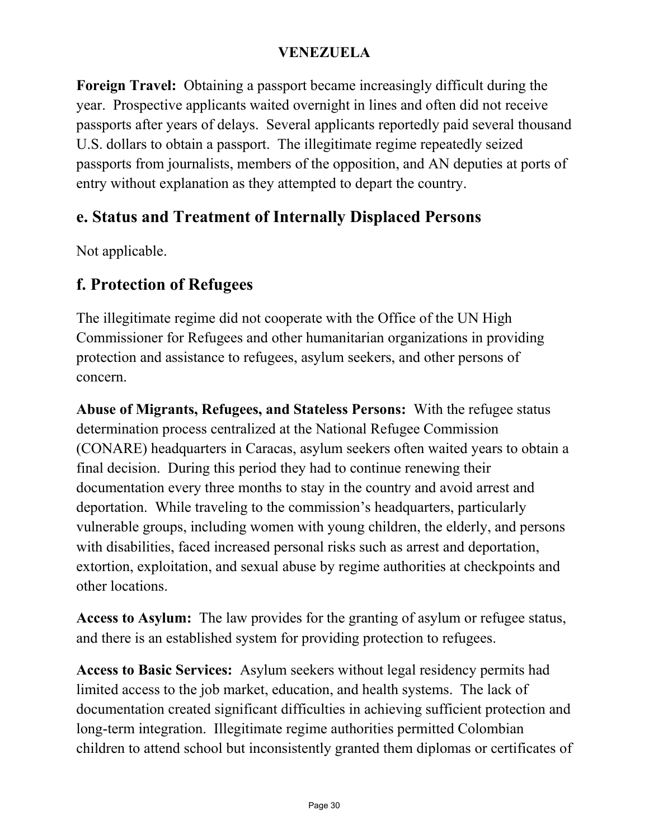**Foreign Travel:** Obtaining a passport became increasingly difficult during the year. Prospective applicants waited overnight in lines and often did not receive passports after years of delays. Several applicants reportedly paid several thousand U.S. dollars to obtain a passport. The illegitimate regime repeatedly seized passports from journalists, members of the opposition, and AN deputies at ports of entry without explanation as they attempted to depart the country.

### **e. Status and Treatment of Internally Displaced Persons**

Not applicable.

### **f. Protection of Refugees**

The illegitimate regime did not cooperate with the Office of the UN High Commissioner for Refugees and other humanitarian organizations in providing protection and assistance to refugees, asylum seekers, and other persons of concern.

**Abuse of Migrants, Refugees, and Stateless Persons:** With the refugee status determination process centralized at the National Refugee Commission (CONARE) headquarters in Caracas, asylum seekers often waited years to obtain a final decision. During this period they had to continue renewing their documentation every three months to stay in the country and avoid arrest and deportation. While traveling to the commission's headquarters, particularly vulnerable groups, including women with young children, the elderly, and persons with disabilities, faced increased personal risks such as arrest and deportation, extortion, exploitation, and sexual abuse by regime authorities at checkpoints and other locations.

**Access to Asylum:** The law provides for the granting of asylum or refugee status, and there is an established system for providing protection to refugees.

**Access to Basic Services:** Asylum seekers without legal residency permits had limited access to the job market, education, and health systems. The lack of documentation created significant difficulties in achieving sufficient protection and long-term integration. Illegitimate regime authorities permitted Colombian children to attend school but inconsistently granted them diplomas or certificates of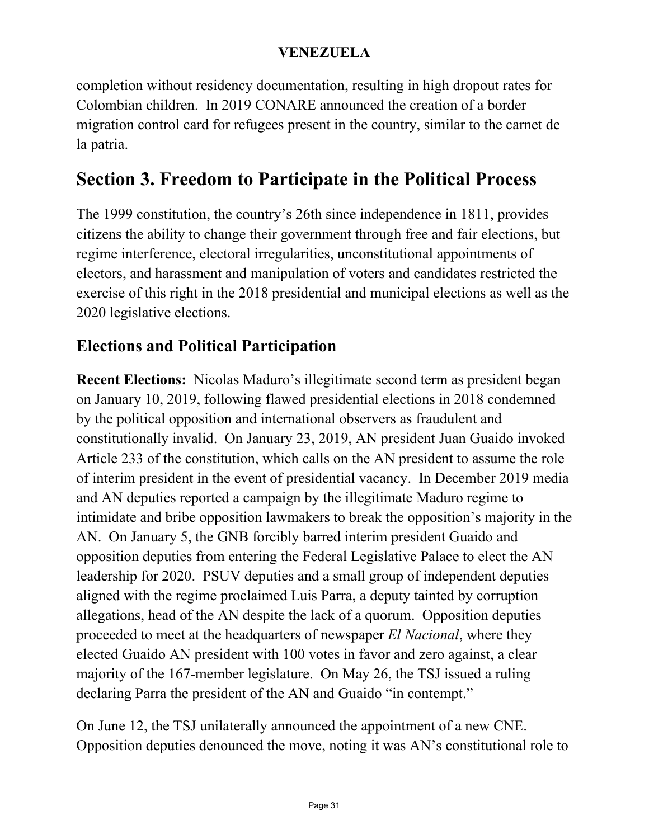completion without residency documentation, resulting in high dropout rates for Colombian children. In 2019 CONARE announced the creation of a border migration control card for refugees present in the country, similar to the carnet de la patria.

# **Section 3. Freedom to Participate in the Political Process**

The 1999 constitution, the country's 26th since independence in 1811, provides citizens the ability to change their government through free and fair elections, but regime interference, electoral irregularities, unconstitutional appointments of electors, and harassment and manipulation of voters and candidates restricted the exercise of this right in the 2018 presidential and municipal elections as well as the 2020 legislative elections.

### **Elections and Political Participation**

**Recent Elections:** Nicolas Maduro's illegitimate second term as president began on January 10, 2019, following flawed presidential elections in 2018 condemned by the political opposition and international observers as fraudulent and constitutionally invalid. On January 23, 2019, AN president Juan Guaido invoked Article 233 of the constitution, which calls on the AN president to assume the role of interim president in the event of presidential vacancy. In December 2019 media and AN deputies reported a campaign by the illegitimate Maduro regime to intimidate and bribe opposition lawmakers to break the opposition's majority in the AN. On January 5, the GNB forcibly barred interim president Guaido and opposition deputies from entering the Federal Legislative Palace to elect the AN leadership for 2020. PSUV deputies and a small group of independent deputies aligned with the regime proclaimed Luis Parra, a deputy tainted by corruption allegations, head of the AN despite the lack of a quorum. Opposition deputies proceeded to meet at the headquarters of newspaper *El Nacional*, where they elected Guaido AN president with 100 votes in favor and zero against, a clear majority of the 167-member legislature. On May 26, the TSJ issued a ruling declaring Parra the president of the AN and Guaido "in contempt."

On June 12, the TSJ unilaterally announced the appointment of a new CNE. Opposition deputies denounced the move, noting it was AN's constitutional role to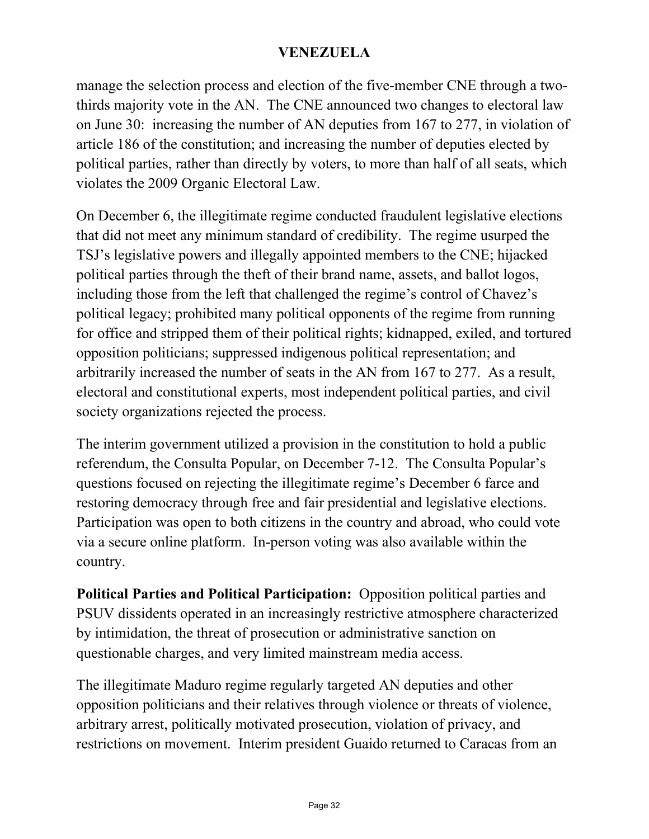manage the selection process and election of the five-member CNE through a twothirds majority vote in the AN. The CNE announced two changes to electoral law on June 30: increasing the number of AN deputies from 167 to 277, in violation of article 186 of the constitution; and increasing the number of deputies elected by political parties, rather than directly by voters, to more than half of all seats, which violates the 2009 Organic Electoral Law.

On December 6, the illegitimate regime conducted fraudulent legislative elections that did not meet any minimum standard of credibility. The regime usurped the TSJ's legislative powers and illegally appointed members to the CNE; hijacked political parties through the theft of their brand name, assets, and ballot logos, including those from the left that challenged the regime's control of Chavez's political legacy; prohibited many political opponents of the regime from running for office and stripped them of their political rights; kidnapped, exiled, and tortured opposition politicians; suppressed indigenous political representation; and arbitrarily increased the number of seats in the AN from 167 to 277. As a result, electoral and constitutional experts, most independent political parties, and civil society organizations rejected the process.

The interim government utilized a provision in the constitution to hold a public referendum, the Consulta Popular, on December 7-12. The Consulta Popular's questions focused on rejecting the illegitimate regime's December 6 farce and restoring democracy through free and fair presidential and legislative elections. Participation was open to both citizens in the country and abroad, who could vote via a secure online platform. In-person voting was also available within the country.

**Political Parties and Political Participation:** Opposition political parties and PSUV dissidents operated in an increasingly restrictive atmosphere characterized by intimidation, the threat of prosecution or administrative sanction on questionable charges, and very limited mainstream media access.

The illegitimate Maduro regime regularly targeted AN deputies and other opposition politicians and their relatives through violence or threats of violence, arbitrary arrest, politically motivated prosecution, violation of privacy, and restrictions on movement. Interim president Guaido returned to Caracas from an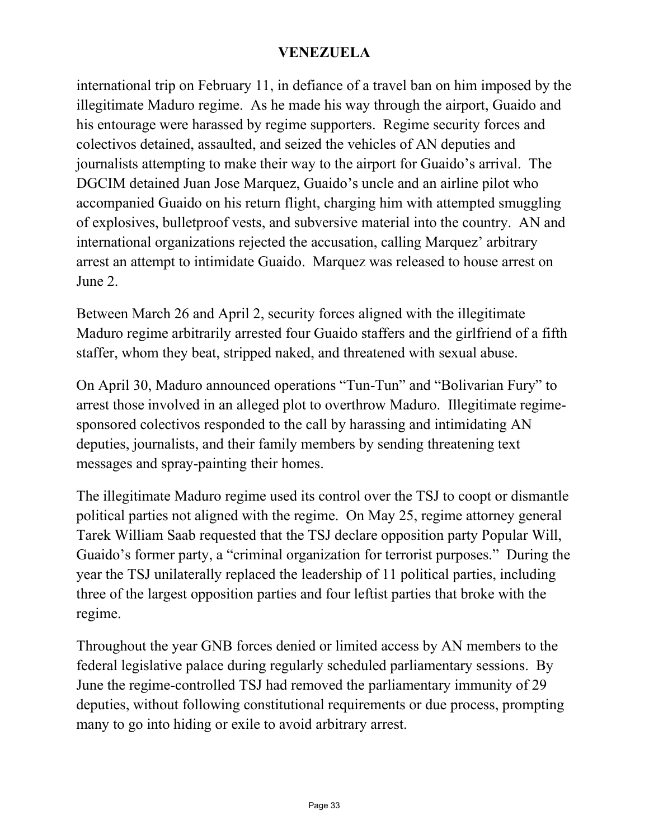international trip on February 11, in defiance of a travel ban on him imposed by the illegitimate Maduro regime. As he made his way through the airport, Guaido and his entourage were harassed by regime supporters. Regime security forces and colectivos detained, assaulted, and seized the vehicles of AN deputies and journalists attempting to make their way to the airport for Guaido's arrival. The DGCIM detained Juan Jose Marquez, Guaido's uncle and an airline pilot who accompanied Guaido on his return flight, charging him with attempted smuggling of explosives, bulletproof vests, and subversive material into the country. AN and international organizations rejected the accusation, calling Marquez' arbitrary arrest an attempt to intimidate Guaido. Marquez was released to house arrest on June 2.

Between March 26 and April 2, security forces aligned with the illegitimate Maduro regime arbitrarily arrested four Guaido staffers and the girlfriend of a fifth staffer, whom they beat, stripped naked, and threatened with sexual abuse.

On April 30, Maduro announced operations "Tun-Tun" and "Bolivarian Fury" to arrest those involved in an alleged plot to overthrow Maduro. Illegitimate regimesponsored colectivos responded to the call by harassing and intimidating AN deputies, journalists, and their family members by sending threatening text messages and spray-painting their homes.

The illegitimate Maduro regime used its control over the TSJ to coopt or dismantle political parties not aligned with the regime. On May 25, regime attorney general Tarek William Saab requested that the TSJ declare opposition party Popular Will, Guaido's former party, a "criminal organization for terrorist purposes." During the year the TSJ unilaterally replaced the leadership of 11 political parties, including three of the largest opposition parties and four leftist parties that broke with the regime.

Throughout the year GNB forces denied or limited access by AN members to the federal legislative palace during regularly scheduled parliamentary sessions. By June the regime-controlled TSJ had removed the parliamentary immunity of 29 deputies, without following constitutional requirements or due process, prompting many to go into hiding or exile to avoid arbitrary arrest.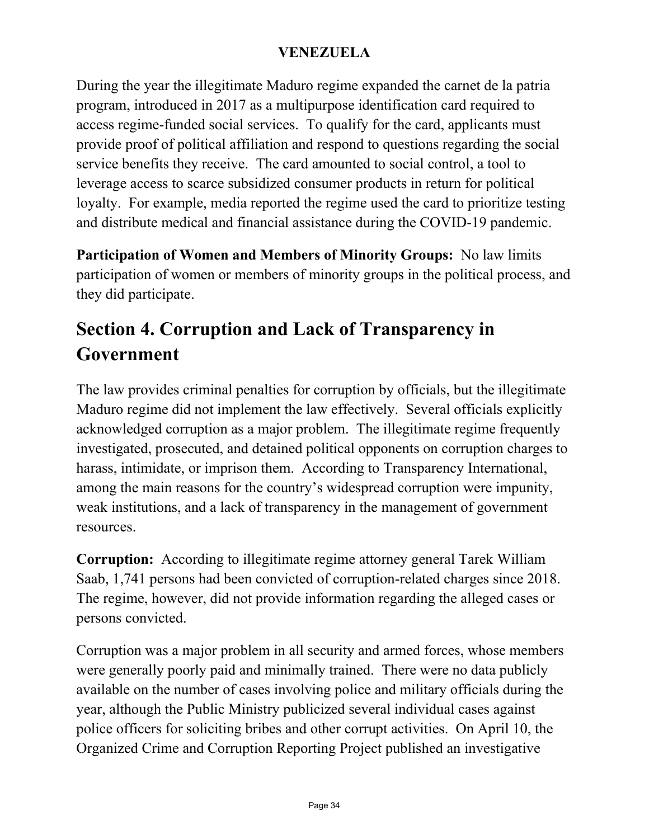During the year the illegitimate Maduro regime expanded the carnet de la patria program, introduced in 2017 as a multipurpose identification card required to access regime-funded social services. To qualify for the card, applicants must provide proof of political affiliation and respond to questions regarding the social service benefits they receive. The card amounted to social control, a tool to leverage access to scarce subsidized consumer products in return for political loyalty. For example, media reported the regime used the card to prioritize testing and distribute medical and financial assistance during the COVID-19 pandemic.

**Participation of Women and Members of Minority Groups:** No law limits participation of women or members of minority groups in the political process, and they did participate.

# **Section 4. Corruption and Lack of Transparency in Government**

The law provides criminal penalties for corruption by officials, but the illegitimate Maduro regime did not implement the law effectively. Several officials explicitly acknowledged corruption as a major problem. The illegitimate regime frequently investigated, prosecuted, and detained political opponents on corruption charges to harass, intimidate, or imprison them. According to Transparency International, among the main reasons for the country's widespread corruption were impunity, weak institutions, and a lack of transparency in the management of government resources.

**Corruption:** According to illegitimate regime attorney general Tarek William Saab, 1,741 persons had been convicted of corruption-related charges since 2018. The regime, however, did not provide information regarding the alleged cases or persons convicted.

Corruption was a major problem in all security and armed forces, whose members were generally poorly paid and minimally trained. There were no data publicly available on the number of cases involving police and military officials during the year, although the Public Ministry publicized several individual cases against police officers for soliciting bribes and other corrupt activities. On April 10, the Organized Crime and Corruption Reporting Project published an investigative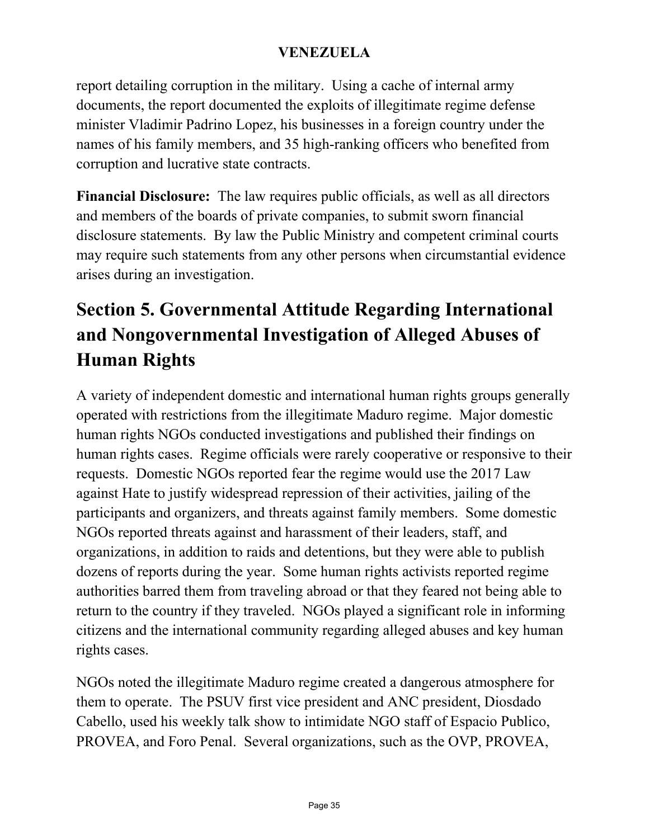report detailing corruption in the military. Using a cache of internal army documents, the report documented the exploits of illegitimate regime defense minister Vladimir Padrino Lopez, his businesses in a foreign country under the names of his family members, and 35 high-ranking officers who benefited from corruption and lucrative state contracts.

**Financial Disclosure:** The law requires public officials, as well as all directors and members of the boards of private companies, to submit sworn financial disclosure statements. By law the Public Ministry and competent criminal courts may require such statements from any other persons when circumstantial evidence arises during an investigation.

# **Section 5. Governmental Attitude Regarding International and Nongovernmental Investigation of Alleged Abuses of Human Rights**

A variety of independent domestic and international human rights groups generally operated with restrictions from the illegitimate Maduro regime. Major domestic human rights NGOs conducted investigations and published their findings on human rights cases. Regime officials were rarely cooperative or responsive to their requests. Domestic NGOs reported fear the regime would use the 2017 Law against Hate to justify widespread repression of their activities, jailing of the participants and organizers, and threats against family members. Some domestic NGOs reported threats against and harassment of their leaders, staff, and organizations, in addition to raids and detentions, but they were able to publish dozens of reports during the year. Some human rights activists reported regime authorities barred them from traveling abroad or that they feared not being able to return to the country if they traveled. NGOs played a significant role in informing citizens and the international community regarding alleged abuses and key human rights cases.

NGOs noted the illegitimate Maduro regime created a dangerous atmosphere for them to operate. The PSUV first vice president and ANC president, Diosdado Cabello, used his weekly talk show to intimidate NGO staff of Espacio Publico, PROVEA, and Foro Penal. Several organizations, such as the OVP, PROVEA,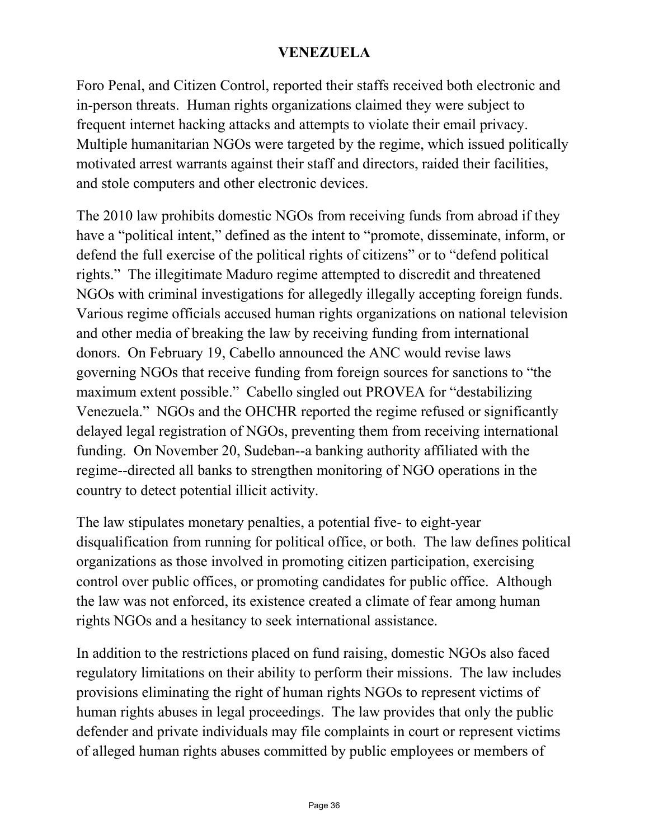Foro Penal, and Citizen Control, reported their staffs received both electronic and in-person threats. Human rights organizations claimed they were subject to frequent internet hacking attacks and attempts to violate their email privacy. Multiple humanitarian NGOs were targeted by the regime, which issued politically motivated arrest warrants against their staff and directors, raided their facilities, and stole computers and other electronic devices.

The 2010 law prohibits domestic NGOs from receiving funds from abroad if they have a "political intent," defined as the intent to "promote, disseminate, inform, or defend the full exercise of the political rights of citizens" or to "defend political rights." The illegitimate Maduro regime attempted to discredit and threatened NGOs with criminal investigations for allegedly illegally accepting foreign funds. Various regime officials accused human rights organizations on national television and other media of breaking the law by receiving funding from international donors. On February 19, Cabello announced the ANC would revise laws governing NGOs that receive funding from foreign sources for sanctions to "the maximum extent possible." Cabello singled out PROVEA for "destabilizing Venezuela." NGOs and the OHCHR reported the regime refused or significantly delayed legal registration of NGOs, preventing them from receiving international funding. On November 20, Sudeban--a banking authority affiliated with the regime--directed all banks to strengthen monitoring of NGO operations in the country to detect potential illicit activity.

The law stipulates monetary penalties, a potential five- to eight-year disqualification from running for political office, or both. The law defines political organizations as those involved in promoting citizen participation, exercising control over public offices, or promoting candidates for public office. Although the law was not enforced, its existence created a climate of fear among human rights NGOs and a hesitancy to seek international assistance.

In addition to the restrictions placed on fund raising, domestic NGOs also faced regulatory limitations on their ability to perform their missions. The law includes provisions eliminating the right of human rights NGOs to represent victims of human rights abuses in legal proceedings. The law provides that only the public defender and private individuals may file complaints in court or represent victims of alleged human rights abuses committed by public employees or members of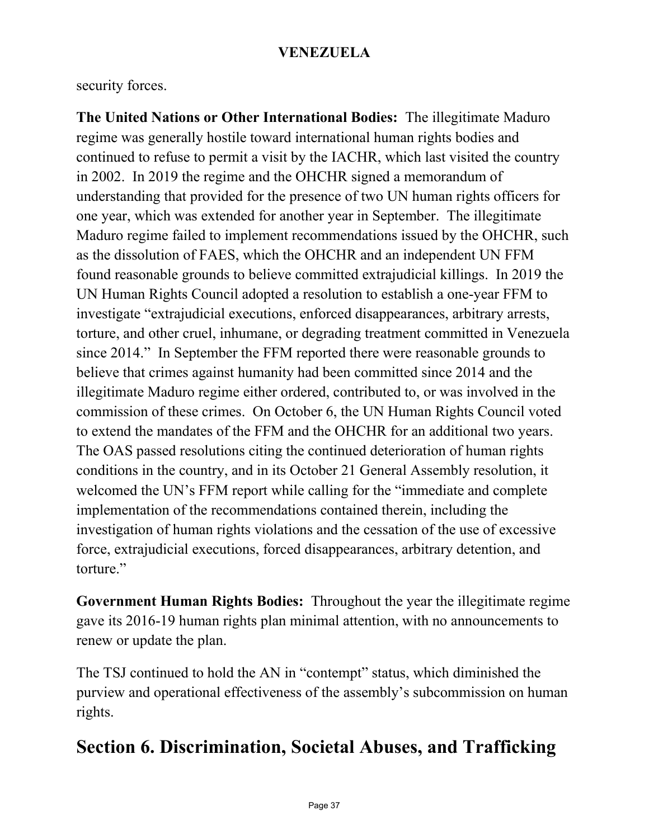security forces.

**The United Nations or Other International Bodies:** The illegitimate Maduro regime was generally hostile toward international human rights bodies and continued to refuse to permit a visit by the IACHR, which last visited the country in 2002. In 2019 the regime and the OHCHR signed a memorandum of understanding that provided for the presence of two UN human rights officers for one year, which was extended for another year in September. The illegitimate Maduro regime failed to implement recommendations issued by the OHCHR, such as the dissolution of FAES, which the OHCHR and an independent UN FFM found reasonable grounds to believe committed extrajudicial killings. In 2019 the UN Human Rights Council adopted a resolution to establish a one-year FFM to investigate "extrajudicial executions, enforced disappearances, arbitrary arrests, torture, and other cruel, inhumane, or degrading treatment committed in Venezuela since 2014." In September the FFM reported there were reasonable grounds to believe that crimes against humanity had been committed since 2014 and the illegitimate Maduro regime either ordered, contributed to, or was involved in the commission of these crimes. On October 6, the UN Human Rights Council voted to extend the mandates of the FFM and the OHCHR for an additional two years. The OAS passed resolutions citing the continued deterioration of human rights conditions in the country, and in its October 21 General Assembly resolution, it welcomed the UN's FFM report while calling for the "immediate and complete implementation of the recommendations contained therein, including the investigation of human rights violations and the cessation of the use of excessive force, extrajudicial executions, forced disappearances, arbitrary detention, and torture."

**Government Human Rights Bodies:** Throughout the year the illegitimate regime gave its 2016-19 human rights plan minimal attention, with no announcements to renew or update the plan.

The TSJ continued to hold the AN in "contempt" status, which diminished the purview and operational effectiveness of the assembly's subcommission on human rights.

# **Section 6. Discrimination, Societal Abuses, and Trafficking**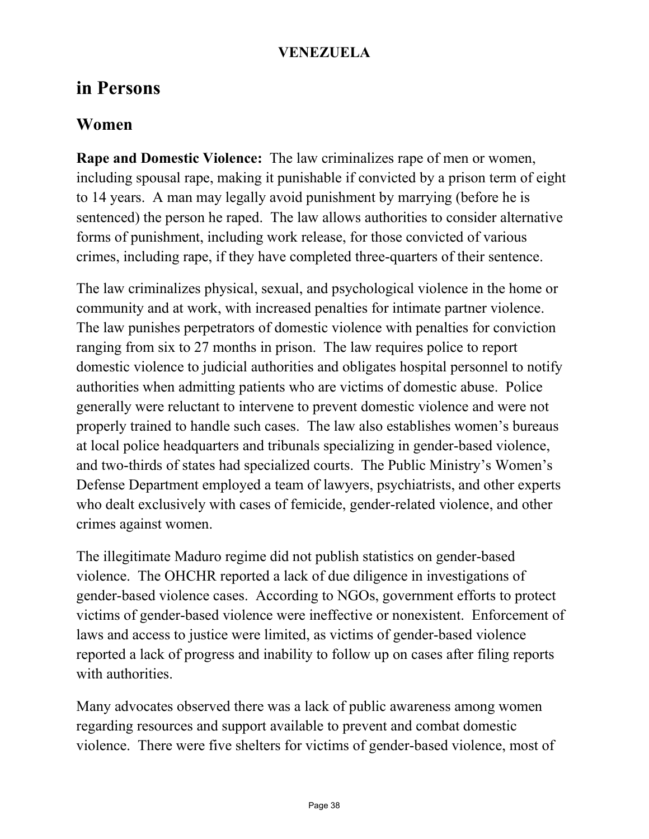### **in Persons**

### **Women**

**Rape and Domestic Violence:** The law criminalizes rape of men or women, including spousal rape, making it punishable if convicted by a prison term of eight to 14 years. A man may legally avoid punishment by marrying (before he is sentenced) the person he raped. The law allows authorities to consider alternative forms of punishment, including work release, for those convicted of various crimes, including rape, if they have completed three-quarters of their sentence.

The law criminalizes physical, sexual, and psychological violence in the home or community and at work, with increased penalties for intimate partner violence. The law punishes perpetrators of domestic violence with penalties for conviction ranging from six to 27 months in prison. The law requires police to report domestic violence to judicial authorities and obligates hospital personnel to notify authorities when admitting patients who are victims of domestic abuse. Police generally were reluctant to intervene to prevent domestic violence and were not properly trained to handle such cases. The law also establishes women's bureaus at local police headquarters and tribunals specializing in gender-based violence, and two-thirds of states had specialized courts. The Public Ministry's Women's Defense Department employed a team of lawyers, psychiatrists, and other experts who dealt exclusively with cases of femicide, gender-related violence, and other crimes against women.

The illegitimate Maduro regime did not publish statistics on gender-based violence. The OHCHR reported a lack of due diligence in investigations of gender-based violence cases. According to NGOs, government efforts to protect victims of gender-based violence were ineffective or nonexistent. Enforcement of laws and access to justice were limited, as victims of gender-based violence reported a lack of progress and inability to follow up on cases after filing reports with authorities.

Many advocates observed there was a lack of public awareness among women regarding resources and support available to prevent and combat domestic violence. There were five shelters for victims of gender-based violence, most of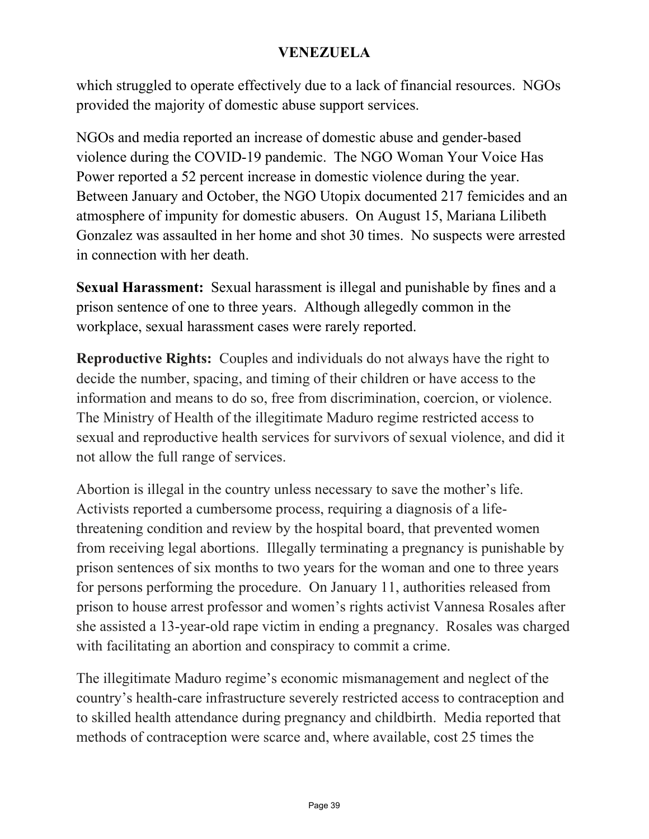which struggled to operate effectively due to a lack of financial resources. NGOs provided the majority of domestic abuse support services.

NGOs and media reported an increase of domestic abuse and gender-based violence during the COVID-19 pandemic. The NGO Woman Your Voice Has Power reported a 52 percent increase in domestic violence during the year. Between January and October, the NGO Utopix documented 217 femicides and an atmosphere of impunity for domestic abusers. On August 15, Mariana Lilibeth Gonzalez was assaulted in her home and shot 30 times. No suspects were arrested in connection with her death.

**Sexual Harassment:** Sexual harassment is illegal and punishable by fines and a prison sentence of one to three years. Although allegedly common in the workplace, sexual harassment cases were rarely reported.

**Reproductive Rights:** Couples and individuals do not always have the right to decide the number, spacing, and timing of their children or have access to the information and means to do so, free from discrimination, coercion, or violence. The Ministry of Health of the illegitimate Maduro regime restricted access to sexual and reproductive health services for survivors of sexual violence, and did it not allow the full range of services.

Abortion is illegal in the country unless necessary to save the mother's life. Activists reported a cumbersome process, requiring a diagnosis of a lifethreatening condition and review by the hospital board, that prevented women from receiving legal abortions. Illegally terminating a pregnancy is punishable by prison sentences of six months to two years for the woman and one to three years for persons performing the procedure. On January 11, authorities released from prison to house arrest professor and women's rights activist Vannesa Rosales after she assisted a 13-year-old rape victim in ending a pregnancy. Rosales was charged with facilitating an abortion and conspiracy to commit a crime.

The illegitimate Maduro regime's economic mismanagement and neglect of the country's health-care infrastructure severely restricted access to contraception and to skilled health attendance during pregnancy and childbirth. Media reported that methods of contraception were scarce and, where available, cost 25 times the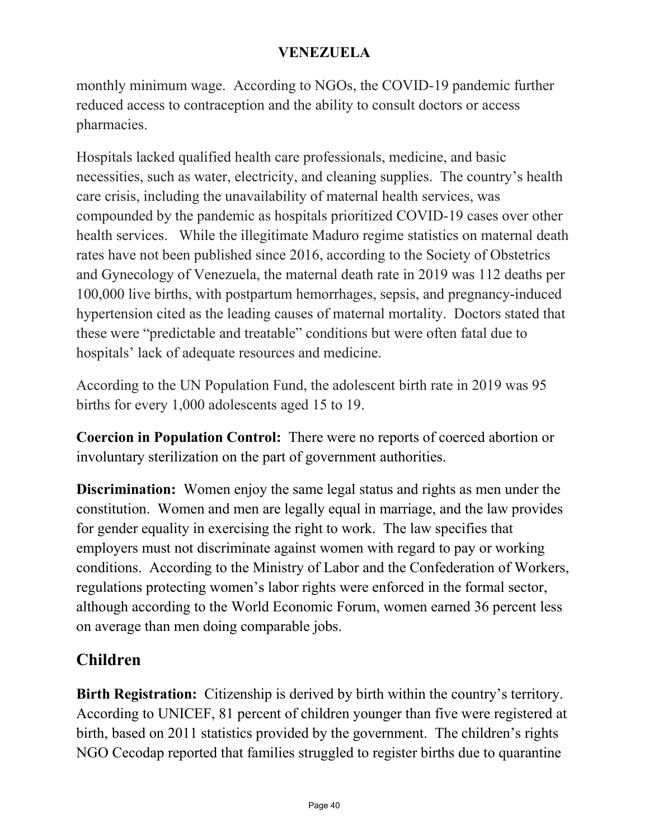monthly minimum wage. According to NGOs, the COVID-19 pandemic further reduced access to contraception and the ability to consult doctors or access pharmacies.

Hospitals lacked qualified health care professionals, medicine, and basic necessities, such as water, electricity, and cleaning supplies. The country's health care crisis, including the unavailability of maternal health services, was compounded by the pandemic as hospitals prioritized COVID-19 cases over other health services. While the illegitimate Maduro regime statistics on maternal death rates have not been published since 2016, according to the Society of Obstetrics and Gynecology of Venezuela, the maternal death rate in 2019 was 112 deaths per 100,000 live births, with postpartum hemorrhages, sepsis, and pregnancy-induced hypertension cited as the leading causes of maternal mortality. Doctors stated that these were "predictable and treatable" conditions but were often fatal due to hospitals' lack of adequate resources and medicine.

According to the UN Population Fund, the adolescent birth rate in 2019 was 95 births for every 1,000 adolescents aged 15 to 19.

**Coercion in Population Control:** There were no reports of coerced abortion or involuntary sterilization on the part of government authorities.

**Discrimination:** Women enjoy the same legal status and rights as men under the constitution. Women and men are legally equal in marriage, and the law provides for gender equality in exercising the right to work. The law specifies that employers must not discriminate against women with regard to pay or working conditions. According to the Ministry of Labor and the Confederation of Workers, regulations protecting women's labor rights were enforced in the formal sector, although according to the World Economic Forum, women earned 36 percent less on average than men doing comparable jobs.

# **Children**

**Birth Registration:** Citizenship is derived by birth within the country's territory. According to UNICEF, 81 percent of children younger than five were registered at birth, based on 2011 statistics provided by the government. The children's rights NGO Cecodap reported that families struggled to register births due to quarantine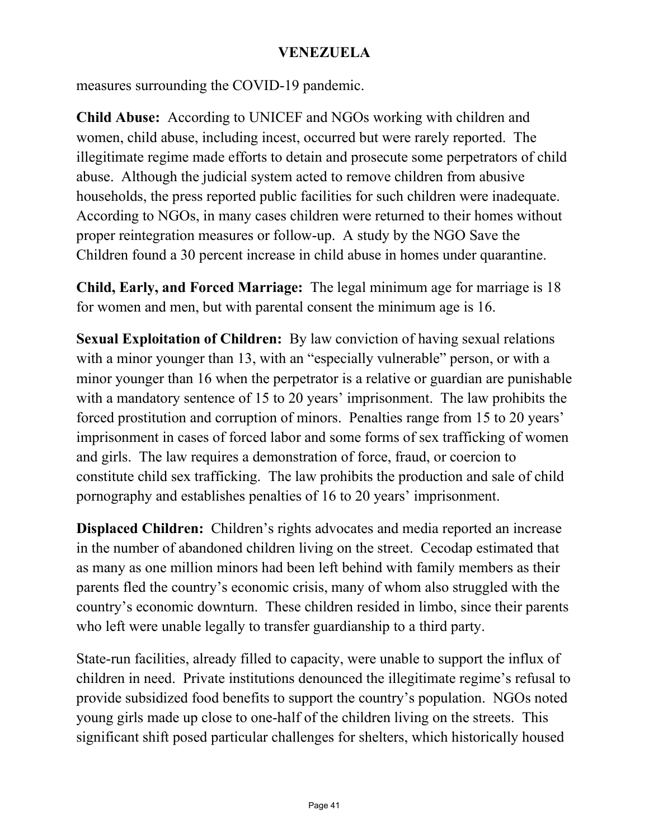measures surrounding the COVID-19 pandemic.

**Child Abuse:** According to UNICEF and NGOs working with children and women, child abuse, including incest, occurred but were rarely reported. The illegitimate regime made efforts to detain and prosecute some perpetrators of child abuse. Although the judicial system acted to remove children from abusive households, the press reported public facilities for such children were inadequate. According to NGOs, in many cases children were returned to their homes without proper reintegration measures or follow-up. A study by the NGO Save the Children found a 30 percent increase in child abuse in homes under quarantine.

**Child, Early, and Forced Marriage:** The legal minimum age for marriage is 18 for women and men, but with parental consent the minimum age is 16.

**Sexual Exploitation of Children:** By law conviction of having sexual relations with a minor younger than 13, with an "especially vulnerable" person, or with a minor younger than 16 when the perpetrator is a relative or guardian are punishable with a mandatory sentence of 15 to 20 years' imprisonment. The law prohibits the forced prostitution and corruption of minors. Penalties range from 15 to 20 years' imprisonment in cases of forced labor and some forms of sex trafficking of women and girls. The law requires a demonstration of force, fraud, or coercion to constitute child sex trafficking. The law prohibits the production and sale of child pornography and establishes penalties of 16 to 20 years' imprisonment.

**Displaced Children:** Children's rights advocates and media reported an increase in the number of abandoned children living on the street. Cecodap estimated that as many as one million minors had been left behind with family members as their parents fled the country's economic crisis, many of whom also struggled with the country's economic downturn. These children resided in limbo, since their parents who left were unable legally to transfer guardianship to a third party.

State-run facilities, already filled to capacity, were unable to support the influx of children in need. Private institutions denounced the illegitimate regime's refusal to provide subsidized food benefits to support the country's population. NGOs noted young girls made up close to one-half of the children living on the streets. This significant shift posed particular challenges for shelters, which historically housed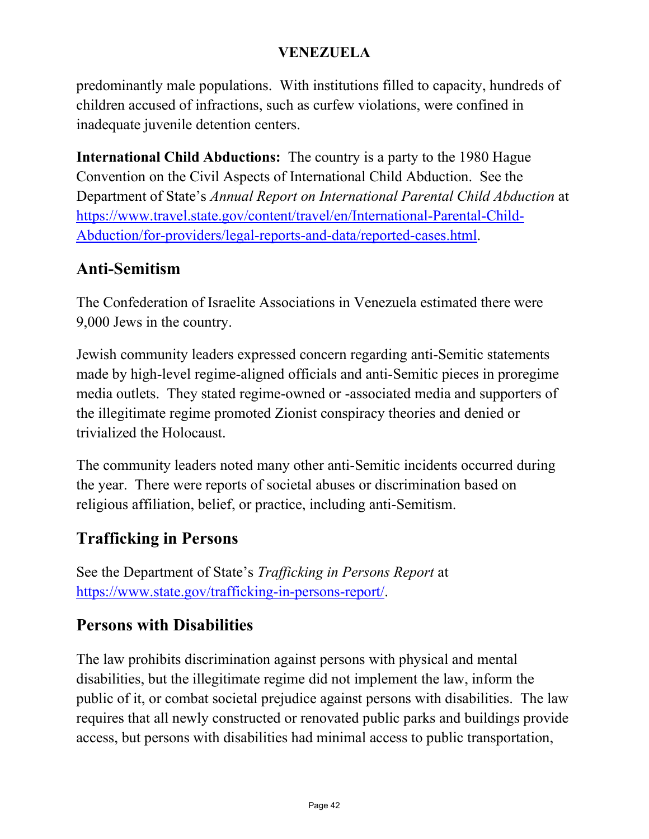predominantly male populations. With institutions filled to capacity, hundreds of children accused of infractions, such as curfew violations, were confined in inadequate juvenile detention centers.

**International Child Abductions:** The country is a party to the 1980 Hague Convention on the Civil Aspects of International Child Abduction. See the Department of State's *Annual Report on International Parental Child Abduction* at [https://www.travel.state.gov/content/travel/en/International-Parental-Child-](https://travel.state.gov/content/travel/en/International-Parental-Child-Abduction/for-providers/legal-reports-and-data/reported-cases.html)[Abduction/for-providers/legal-reports-and-data/reported-cases.html.](https://travel.state.gov/content/travel/en/International-Parental-Child-Abduction/for-providers/legal-reports-and-data/reported-cases.html)

### **Anti-Semitism**

The Confederation of Israelite Associations in Venezuela estimated there were 9,000 Jews in the country.

Jewish community leaders expressed concern regarding anti-Semitic statements made by high-level regime-aligned officials and anti-Semitic pieces in proregime media outlets. They stated regime-owned or -associated media and supporters of the illegitimate regime promoted Zionist conspiracy theories and denied or trivialized the Holocaust.

The community leaders noted many other anti-Semitic incidents occurred during the year. There were reports of societal abuses or discrimination based on religious affiliation, belief, or practice, including anti-Semitism.

### **Trafficking in Persons**

See the Department of State's *Trafficking in Persons Report* at [https://www.state.gov/trafficking-in-persons-report/.](https://www.state.gov/trafficking-in-persons-report/)

### **Persons with Disabilities**

The law prohibits discrimination against persons with physical and mental disabilities, but the illegitimate regime did not implement the law, inform the public of it, or combat societal prejudice against persons with disabilities. The law requires that all newly constructed or renovated public parks and buildings provide access, but persons with disabilities had minimal access to public transportation,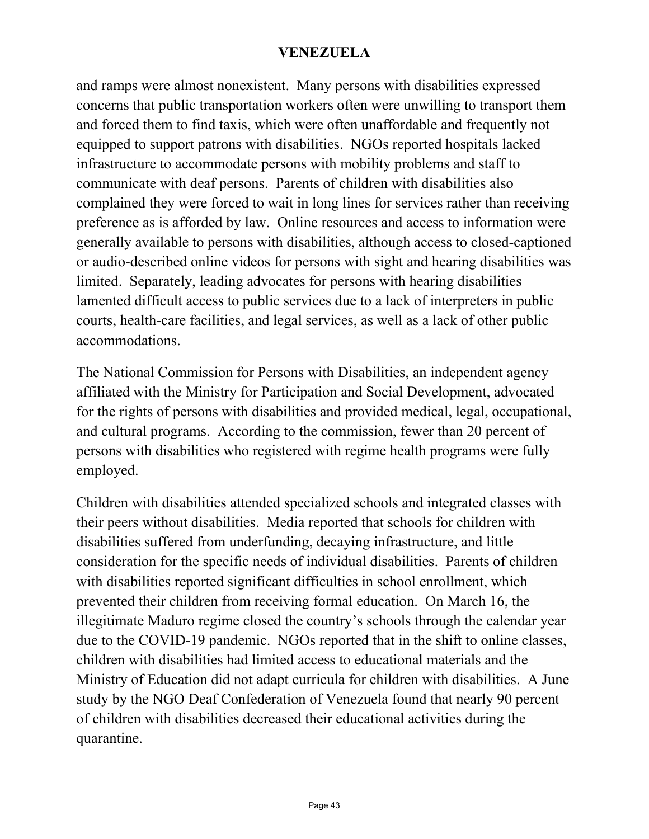and ramps were almost nonexistent. Many persons with disabilities expressed concerns that public transportation workers often were unwilling to transport them and forced them to find taxis, which were often unaffordable and frequently not equipped to support patrons with disabilities. NGOs reported hospitals lacked infrastructure to accommodate persons with mobility problems and staff to communicate with deaf persons. Parents of children with disabilities also complained they were forced to wait in long lines for services rather than receiving preference as is afforded by law. Online resources and access to information were generally available to persons with disabilities, although access to closed-captioned or audio-described online videos for persons with sight and hearing disabilities was limited. Separately, leading advocates for persons with hearing disabilities lamented difficult access to public services due to a lack of interpreters in public courts, health-care facilities, and legal services, as well as a lack of other public accommodations.

The National Commission for Persons with Disabilities, an independent agency affiliated with the Ministry for Participation and Social Development, advocated for the rights of persons with disabilities and provided medical, legal, occupational, and cultural programs. According to the commission, fewer than 20 percent of persons with disabilities who registered with regime health programs were fully employed.

Children with disabilities attended specialized schools and integrated classes with their peers without disabilities. Media reported that schools for children with disabilities suffered from underfunding, decaying infrastructure, and little consideration for the specific needs of individual disabilities. Parents of children with disabilities reported significant difficulties in school enrollment, which prevented their children from receiving formal education. On March 16, the illegitimate Maduro regime closed the country's schools through the calendar year due to the COVID-19 pandemic. NGOs reported that in the shift to online classes, children with disabilities had limited access to educational materials and the Ministry of Education did not adapt curricula for children with disabilities. A June study by the NGO Deaf Confederation of Venezuela found that nearly 90 percent of children with disabilities decreased their educational activities during the quarantine.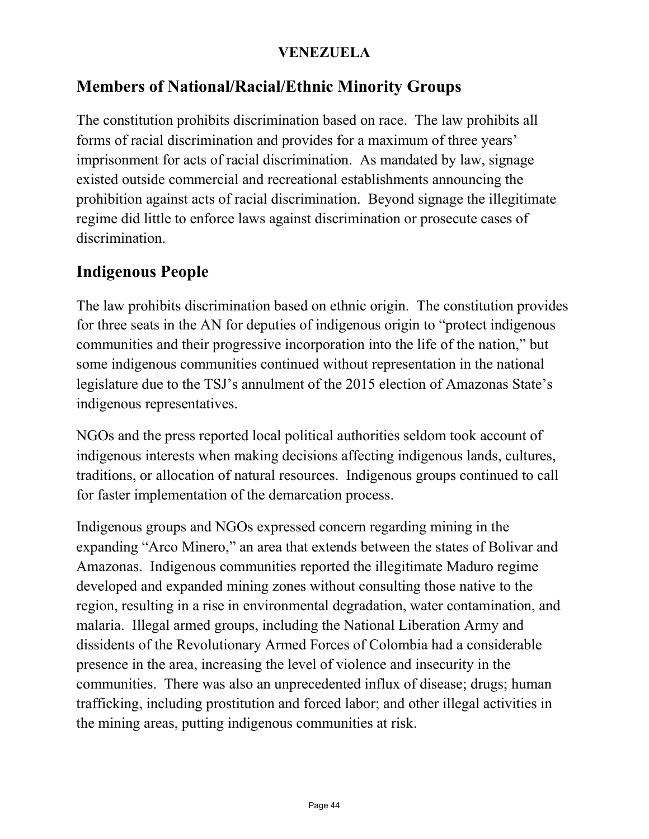### **Members of National/Racial/Ethnic Minority Groups**

The constitution prohibits discrimination based on race. The law prohibits all forms of racial discrimination and provides for a maximum of three years' imprisonment for acts of racial discrimination. As mandated by law, signage existed outside commercial and recreational establishments announcing the prohibition against acts of racial discrimination. Beyond signage the illegitimate regime did little to enforce laws against discrimination or prosecute cases of discrimination.

### **Indigenous People**

The law prohibits discrimination based on ethnic origin. The constitution provides for three seats in the AN for deputies of indigenous origin to "protect indigenous communities and their progressive incorporation into the life of the nation," but some indigenous communities continued without representation in the national legislature due to the TSJ's annulment of the 2015 election of Amazonas State's indigenous representatives.

NGOs and the press reported local political authorities seldom took account of indigenous interests when making decisions affecting indigenous lands, cultures, traditions, or allocation of natural resources. Indigenous groups continued to call for faster implementation of the demarcation process.

Indigenous groups and NGOs expressed concern regarding mining in the expanding "Arco Minero," an area that extends between the states of Bolivar and Amazonas. Indigenous communities reported the illegitimate Maduro regime developed and expanded mining zones without consulting those native to the region, resulting in a rise in environmental degradation, water contamination, and malaria. Illegal armed groups, including the National Liberation Army and dissidents of the Revolutionary Armed Forces of Colombia had a considerable presence in the area, increasing the level of violence and insecurity in the communities. There was also an unprecedented influx of disease; drugs; human trafficking, including prostitution and forced labor; and other illegal activities in the mining areas, putting indigenous communities at risk.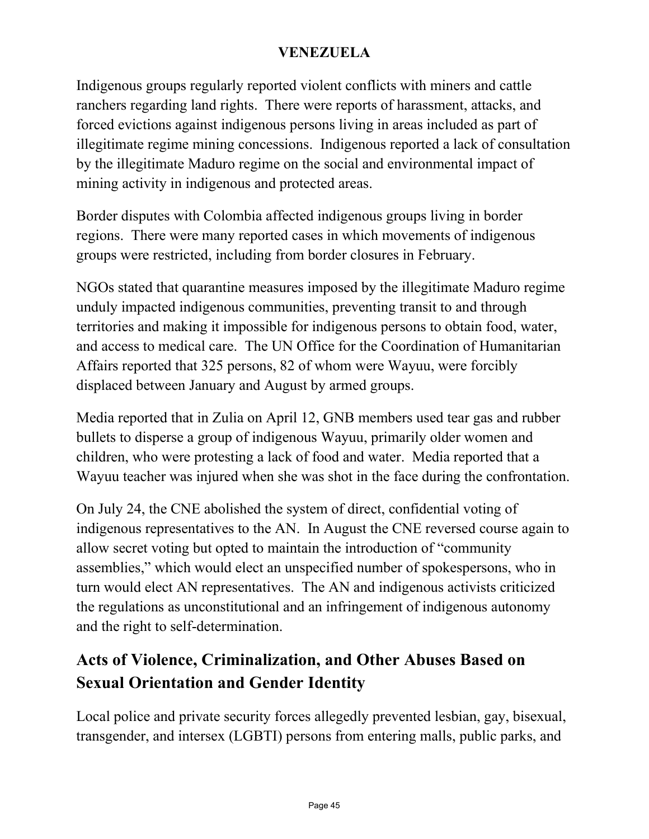Indigenous groups regularly reported violent conflicts with miners and cattle ranchers regarding land rights. There were reports of harassment, attacks, and forced evictions against indigenous persons living in areas included as part of illegitimate regime mining concessions. Indigenous reported a lack of consultation by the illegitimate Maduro regime on the social and environmental impact of mining activity in indigenous and protected areas.

Border disputes with Colombia affected indigenous groups living in border regions. There were many reported cases in which movements of indigenous groups were restricted, including from border closures in February.

NGOs stated that quarantine measures imposed by the illegitimate Maduro regime unduly impacted indigenous communities, preventing transit to and through territories and making it impossible for indigenous persons to obtain food, water, and access to medical care. The UN Office for the Coordination of Humanitarian Affairs reported that 325 persons, 82 of whom were Wayuu, were forcibly displaced between January and August by armed groups.

Media reported that in Zulia on April 12, GNB members used tear gas and rubber bullets to disperse a group of indigenous Wayuu, primarily older women and children, who were protesting a lack of food and water. Media reported that a Wayuu teacher was injured when she was shot in the face during the confrontation.

On July 24, the CNE abolished the system of direct, confidential voting of indigenous representatives to the AN. In August the CNE reversed course again to allow secret voting but opted to maintain the introduction of "community assemblies," which would elect an unspecified number of spokespersons, who in turn would elect AN representatives. The AN and indigenous activists criticized the regulations as unconstitutional and an infringement of indigenous autonomy and the right to self-determination.

## **Acts of Violence, Criminalization, and Other Abuses Based on Sexual Orientation and Gender Identity**

Local police and private security forces allegedly prevented lesbian, gay, bisexual, transgender, and intersex (LGBTI) persons from entering malls, public parks, and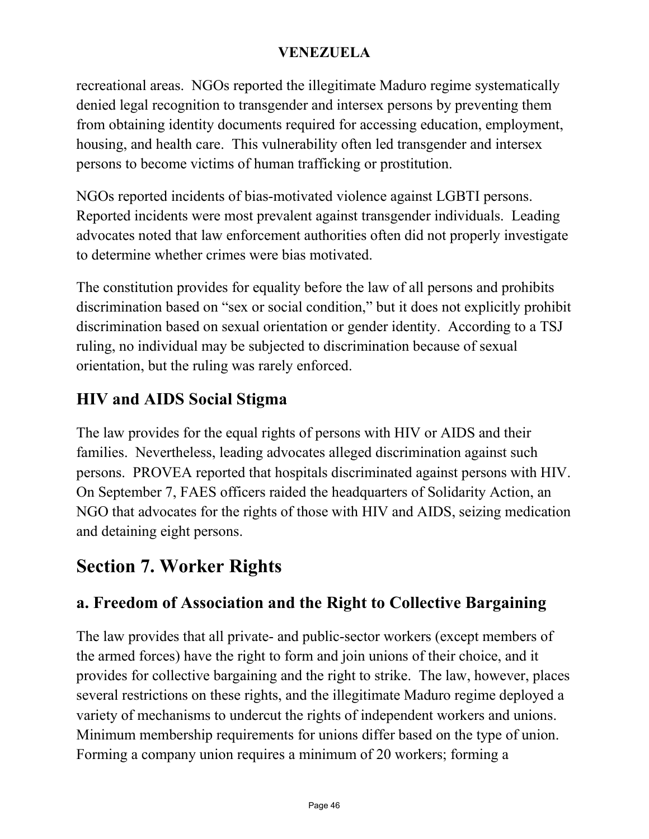recreational areas. NGOs reported the illegitimate Maduro regime systematically denied legal recognition to transgender and intersex persons by preventing them from obtaining identity documents required for accessing education, employment, housing, and health care. This vulnerability often led transgender and intersex persons to become victims of human trafficking or prostitution.

NGOs reported incidents of bias-motivated violence against LGBTI persons. Reported incidents were most prevalent against transgender individuals. Leading advocates noted that law enforcement authorities often did not properly investigate to determine whether crimes were bias motivated.

The constitution provides for equality before the law of all persons and prohibits discrimination based on "sex or social condition," but it does not explicitly prohibit discrimination based on sexual orientation or gender identity. According to a TSJ ruling, no individual may be subjected to discrimination because of sexual orientation, but the ruling was rarely enforced.

### **HIV and AIDS Social Stigma**

The law provides for the equal rights of persons with HIV or AIDS and their families. Nevertheless, leading advocates alleged discrimination against such persons. PROVEA reported that hospitals discriminated against persons with HIV. On September 7, FAES officers raided the headquarters of Solidarity Action, an NGO that advocates for the rights of those with HIV and AIDS, seizing medication and detaining eight persons.

# **Section 7. Worker Rights**

### **a. Freedom of Association and the Right to Collective Bargaining**

The law provides that all private- and public-sector workers (except members of the armed forces) have the right to form and join unions of their choice, and it provides for collective bargaining and the right to strike. The law, however, places several restrictions on these rights, and the illegitimate Maduro regime deployed a variety of mechanisms to undercut the rights of independent workers and unions. Minimum membership requirements for unions differ based on the type of union. Forming a company union requires a minimum of 20 workers; forming a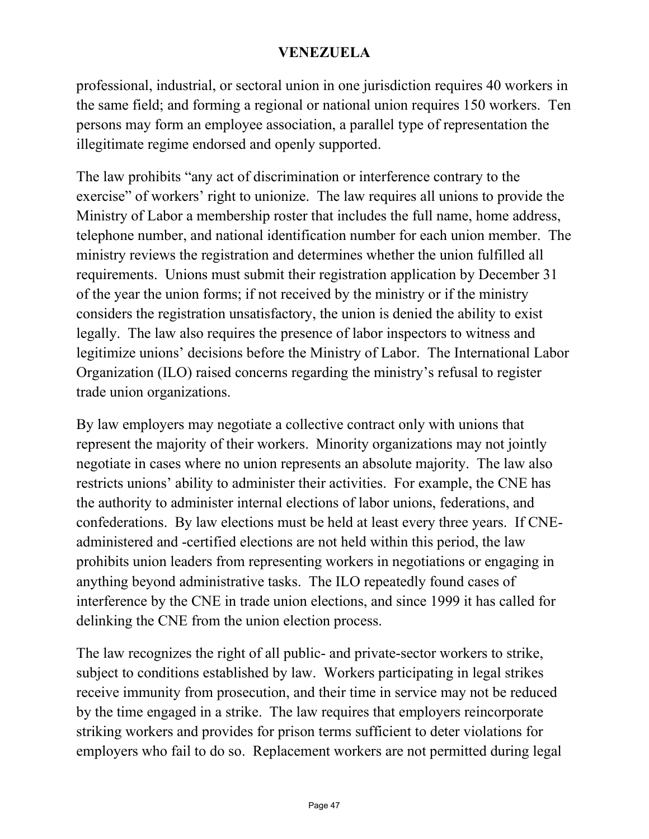of which were repressed by regime-aligned security forces and armed groups. The OVCS documented 129 detentions, 62 injured, and two deaths during protests. An OHCHR investigation found three cases of torture and a sexual assault of protesters committed on May 20 by regime security forces in Lara State. Media reported a group of armed colectivos attacked protesters and journalists gathered at a protest convened on February 29 by interim president Guaido in Lara State.

NGOs and opposition deputies expressed concern that the illegitimate Maduro regime used quarantine restrictions as a form of social control to criminalize protests and silence critics. On May 23, FAES officers arrested Giovanny Meza and four others during a protest in Sucre State to demand water and electricity. Meza, who suffered from multiple sclerosis, had a seizure during his hearing. When the judge ordered a medical examination, doctors found that Meza showed signs of torture, including five broken ribs. Meza was charged with instigation to commit a crime, obstruction of public roads, possession of incendiary objects, and criminal association.

#### **Freedom of Association**

The constitution provides for freedom of association and freedom from political discrimination, but the illegitimate Maduro regime did not respect these rights. Although professional and academic associations generally operated without interference, a number of associations complained that the TSJ and the National Electoral Council (CNE), which is responsible for convoking all elections and establishing electoral dates and procedures, repeatedly interfered with their attempts to hold internal elections.

A 2016 presidential decree directed the Foreign Ministry to suspend international funding to NGOs when "it is presumed" the funding was used with "political" purposes or for destabilization."

### c. Freedom of Religion

See the Department of State's International Religious Freedom Report at https://www.state.gov/international-religious-freedom-reports/.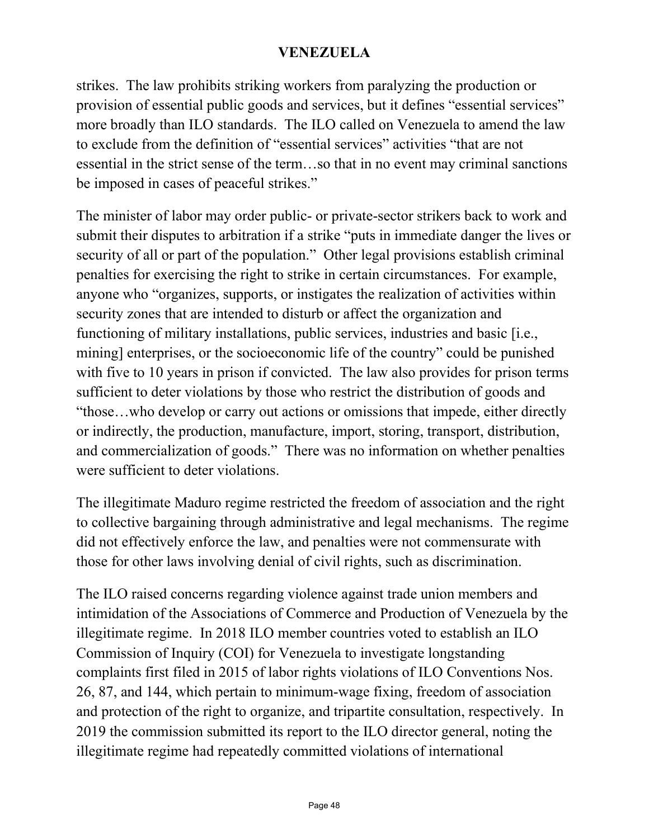strikes. The law prohibits striking workers from paralyzing the production or provision of essential public goods and services, but it defines "essential services" more broadly than ILO standards. The ILO called on Venezuela to amend the law to exclude from the definition of "essential services" activities "that are not essential in the strict sense of the term…so that in no event may criminal sanctions be imposed in cases of peaceful strikes."

The minister of labor may order public- or private-sector strikers back to work and submit their disputes to arbitration if a strike "puts in immediate danger the lives or security of all or part of the population." Other legal provisions establish criminal penalties for exercising the right to strike in certain circumstances. For example, anyone who "organizes, supports, or instigates the realization of activities within security zones that are intended to disturb or affect the organization and functioning of military installations, public services, industries and basic [i.e., mining] enterprises, or the socioeconomic life of the country" could be punished with five to 10 years in prison if convicted. The law also provides for prison terms sufficient to deter violations by those who restrict the distribution of goods and "those…who develop or carry out actions or omissions that impede, either directly or indirectly, the production, manufacture, import, storing, transport, distribution, and commercialization of goods." There was no information on whether penalties were sufficient to deter violations.

The illegitimate Maduro regime restricted the freedom of association and the right to collective bargaining through administrative and legal mechanisms. The regime did not effectively enforce the law, and penalties were not commensurate with those for other laws involving denial of civil rights, such as discrimination.

The ILO raised concerns regarding violence against trade union members and intimidation of the Associations of Commerce and Production of Venezuela by the illegitimate regime. In 2018 ILO member countries voted to establish an ILO Commission of Inquiry (COI) for Venezuela to investigate longstanding complaints first filed in 2015 of labor rights violations of ILO Conventions Nos. 26, 87, and 144, which pertain to minimum-wage fixing, freedom of association and protection of the right to organize, and tripartite consultation, respectively. In 2019 the commission submitted its report to the ILO director general, noting the illegitimate regime had repeatedly committed violations of international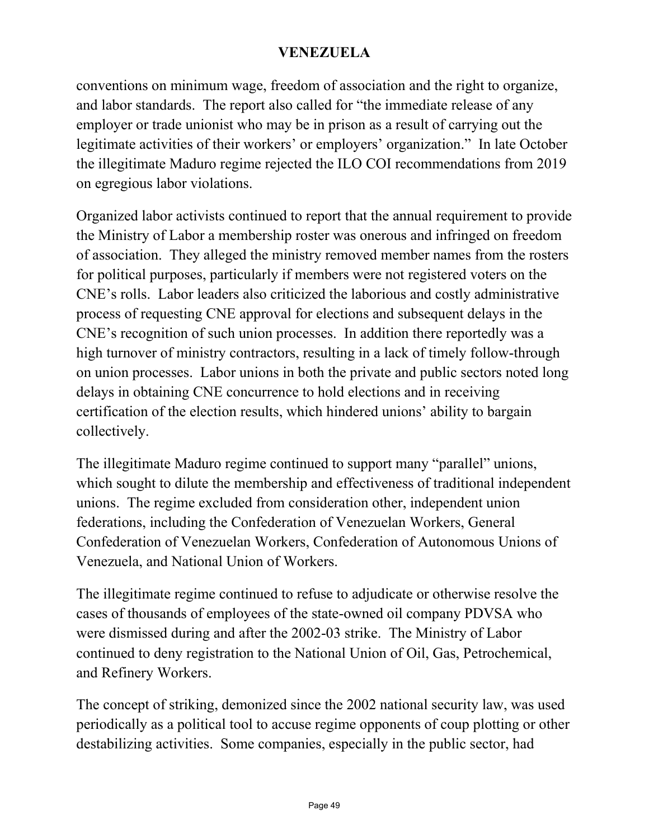conventions on minimum wage, freedom of association and the right to organize, and labor standards. The report also called for "the immediate release of any employer or trade unionist who may be in prison as a result of carrying out the legitimate activities of their workers' or employers' organization." In late October the illegitimate Maduro regime rejected the ILO COI recommendations from 2019 on egregious labor violations.

Organized labor activists continued to report that the annual requirement to provide the Ministry of Labor a membership roster was onerous and infringed on freedom of association. They alleged the ministry removed member names from the rosters for political purposes, particularly if members were not registered voters on the CNE's rolls. Labor leaders also criticized the laborious and costly administrative process of requesting CNE approval for elections and subsequent delays in the CNE's recognition of such union processes. In addition there reportedly was a high turnover of ministry contractors, resulting in a lack of timely follow-through on union processes. Labor unions in both the private and public sectors noted long delays in obtaining CNE concurrence to hold elections and in receiving certification of the election results, which hindered unions' ability to bargain collectively.

The illegitimate Maduro regime continued to support many "parallel" unions, which sought to dilute the membership and effectiveness of traditional independent unions. The regime excluded from consideration other, independent union federations, including the Confederation of Venezuelan Workers, General Confederation of Venezuelan Workers, Confederation of Autonomous Unions of Venezuela, and National Union of Workers.

The illegitimate regime continued to refuse to adjudicate or otherwise resolve the cases of thousands of employees of the state-owned oil company PDVSA who were dismissed during and after the 2002-03 strike. The Ministry of Labor continued to deny registration to the National Union of Oil, Gas, Petrochemical, and Refinery Workers.

The concept of striking, demonized since the 2002 national security law, was used periodically as a political tool to accuse regime opponents of coup plotting or other destabilizing activities. Some companies, especially in the public sector, had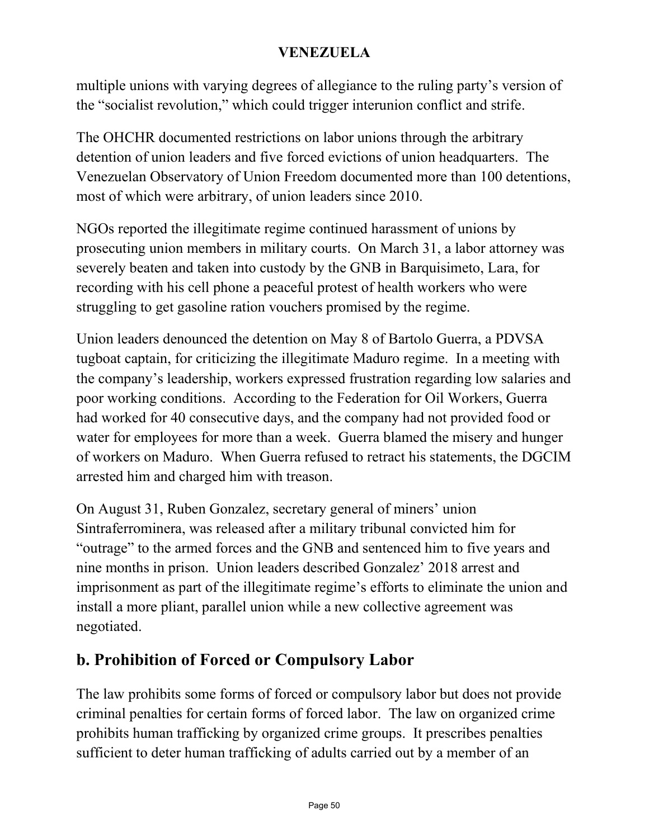multiple unions with varying degrees of allegiance to the ruling party's version of the "socialist revolution," which could trigger interunion conflict and strife.

The OHCHR documented restrictions on labor unions through the arbitrary detention of union leaders and five forced evictions of union headquarters. The Venezuelan Observatory of Union Freedom documented more than 100 detentions, most of which were arbitrary, of union leaders since 2010.

NGOs reported the illegitimate regime continued harassment of unions by prosecuting union members in military courts. On March 31, a labor attorney was severely beaten and taken into custody by the GNB in Barquisimeto, Lara, for recording with his cell phone a peaceful protest of health workers who were struggling to get gasoline ration vouchers promised by the regime.

Union leaders denounced the detention on May 8 of Bartolo Guerra, a PDVSA tugboat captain, for criticizing the illegitimate Maduro regime. In a meeting with the company's leadership, workers expressed frustration regarding low salaries and poor working conditions. According to the Federation for Oil Workers, Guerra had worked for 40 consecutive days, and the company had not provided food or water for employees for more than a week. Guerra blamed the misery and hunger of workers on Maduro. When Guerra refused to retract his statements, the DGCIM arrested him and charged him with treason.

On August 31, Ruben Gonzalez, secretary general of miners' union Sintraferrominera, was released after a military tribunal convicted him for "outrage" to the armed forces and the GNB and sentenced him to five years and nine months in prison. Union leaders described Gonzalez' 2018 arrest and imprisonment as part of the illegitimate regime's efforts to eliminate the union and install a more pliant, parallel union while a new collective agreement was negotiated.

### **b. Prohibition of Forced or Compulsory Labor**

The law prohibits some forms of forced or compulsory labor but does not provide criminal penalties for certain forms of forced labor. The law on organized crime prohibits human trafficking by organized crime groups. It prescribes penalties sufficient to deter human trafficking of adults carried out by a member of an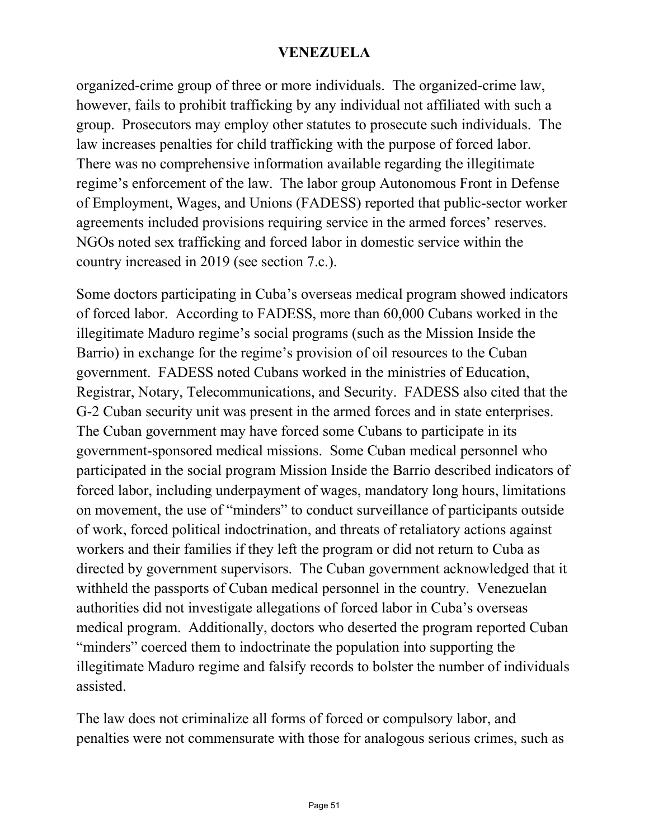organized-crime group of three or more individuals. The organized-crime law, however, fails to prohibit trafficking by any individual not affiliated with such a group. Prosecutors may employ other statutes to prosecute such individuals. The law increases penalties for child trafficking with the purpose of forced labor. There was no comprehensive information available regarding the illegitimate regime's enforcement of the law. The labor group Autonomous Front in Defense of Employment, Wages, and Unions (FADESS) reported that public-sector worker agreements included provisions requiring service in the armed forces' reserves. NGOs noted sex trafficking and forced labor in domestic service within the country increased in 2019 (see section 7.c.).

Some doctors participating in Cuba's overseas medical program showed indicators of forced labor. According to FADESS, more than 60,000 Cubans worked in the illegitimate Maduro regime's social programs (such as the Mission Inside the Barrio) in exchange for the regime's provision of oil resources to the Cuban government. FADESS noted Cubans worked in the ministries of Education, Registrar, Notary, Telecommunications, and Security. FADESS also cited that the G-2 Cuban security unit was present in the armed forces and in state enterprises. The Cuban government may have forced some Cubans to participate in its government-sponsored medical missions. Some Cuban medical personnel who participated in the social program Mission Inside the Barrio described indicators of forced labor, including underpayment of wages, mandatory long hours, limitations on movement, the use of "minders" to conduct surveillance of participants outside of work, forced political indoctrination, and threats of retaliatory actions against workers and their families if they left the program or did not return to Cuba as directed by government supervisors. The Cuban government acknowledged that it withheld the passports of Cuban medical personnel in the country. Venezuelan authorities did not investigate allegations of forced labor in Cuba's overseas medical program. Additionally, doctors who deserted the program reported Cuban "minders" coerced them to indoctrinate the population into supporting the illegitimate Maduro regime and falsify records to bolster the number of individuals assisted.

The law does not criminalize all forms of forced or compulsory labor, and penalties were not commensurate with those for analogous serious crimes, such as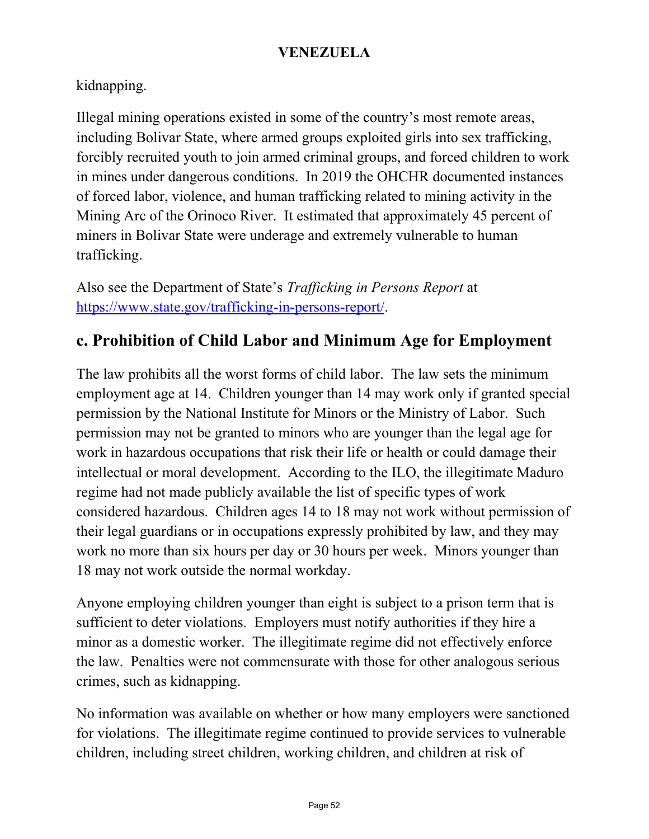kidnapping.

Illegal mining operations existed in some of the country's most remote areas, including Bolivar State, where armed groups exploited girls into sex trafficking, forcibly recruited youth to join armed criminal groups, and forced children to work in mines under dangerous conditions. In 2019 the OHCHR documented instances of forced labor, violence, and human trafficking related to mining activity in the Mining Arc of the Orinoco River. It estimated that approximately 45 percent of miners in Bolivar State were underage and extremely vulnerable to human trafficking.

Also see the Department of State's *Trafficking in Persons Report* at [https://www.state.gov/trafficking-in-persons-report/.](https://www.state.gov/trafficking-in-persons-report/)

### **c. Prohibition of Child Labor and Minimum Age for Employment**

The law prohibits all the worst forms of child labor. The law sets the minimum employment age at 14. Children younger than 14 may work only if granted special permission by the National Institute for Minors or the Ministry of Labor. Such permission may not be granted to minors who are younger than the legal age for work in hazardous occupations that risk their life or health or could damage their intellectual or moral development. According to the ILO, the illegitimate Maduro regime had not made publicly available the list of specific types of work considered hazardous. Children ages 14 to 18 may not work without permission of their legal guardians or in occupations expressly prohibited by law, and they may work no more than six hours per day or 30 hours per week. Minors younger than 18 may not work outside the normal workday.

Anyone employing children younger than eight is subject to a prison term that is sufficient to deter violations. Employers must notify authorities if they hire a minor as a domestic worker. The illegitimate regime did not effectively enforce the law. Penalties were not commensurate with those for other analogous serious crimes, such as kidnapping.

No information was available on whether or how many employers were sanctioned for violations. The illegitimate regime continued to provide services to vulnerable children, including street children, working children, and children at risk of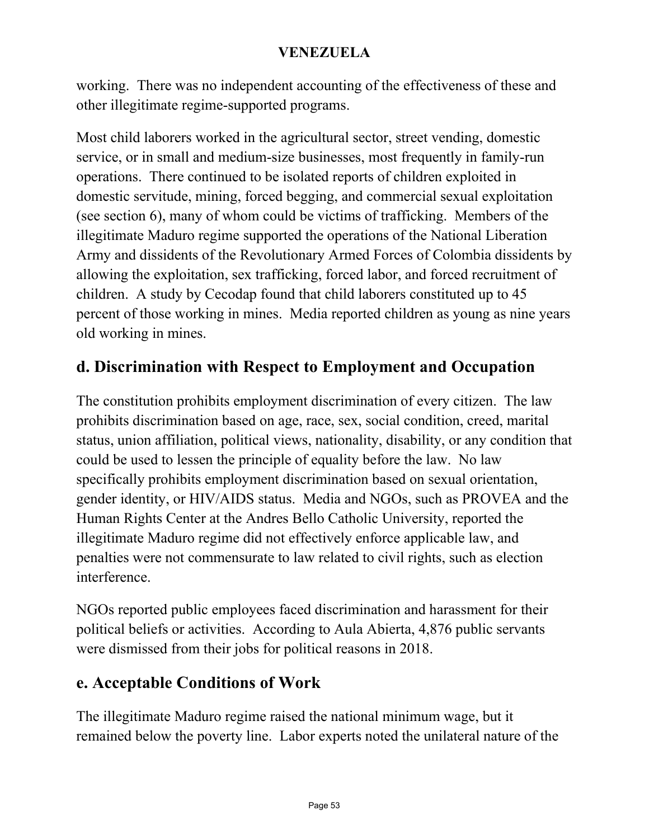working. There was no independent accounting of the effectiveness of these and other illegitimate regime-supported programs.

Most child laborers worked in the agricultural sector, street vending, domestic service, or in small and medium-size businesses, most frequently in family-run operations. There continued to be isolated reports of children exploited in domestic servitude, mining, forced begging, and commercial sexual exploitation (see section 6), many of whom could be victims of trafficking. Members of the illegitimate Maduro regime supported the operations of the National Liberation Army and dissidents of the Revolutionary Armed Forces of Colombia dissidents by allowing the exploitation, sex trafficking, forced labor, and forced recruitment of children. A study by Cecodap found that child laborers constituted up to 45 percent of those working in mines. Media reported children as young as nine years old working in mines.

### **d. Discrimination with Respect to Employment and Occupation**

The constitution prohibits employment discrimination of every citizen. The law prohibits discrimination based on age, race, sex, social condition, creed, marital status, union affiliation, political views, nationality, disability, or any condition that could be used to lessen the principle of equality before the law. No law specifically prohibits employment discrimination based on sexual orientation, gender identity, or HIV/AIDS status. Media and NGOs, such as PROVEA and the Human Rights Center at the Andres Bello Catholic University, reported the illegitimate Maduro regime did not effectively enforce applicable law, and penalties were not commensurate to law related to civil rights, such as election interference.

NGOs reported public employees faced discrimination and harassment for their political beliefs or activities. According to Aula Abierta, 4,876 public servants were dismissed from their jobs for political reasons in 2018.

### **e. Acceptable Conditions of Work**

The illegitimate Maduro regime raised the national minimum wage, but it remained below the poverty line. Labor experts noted the unilateral nature of the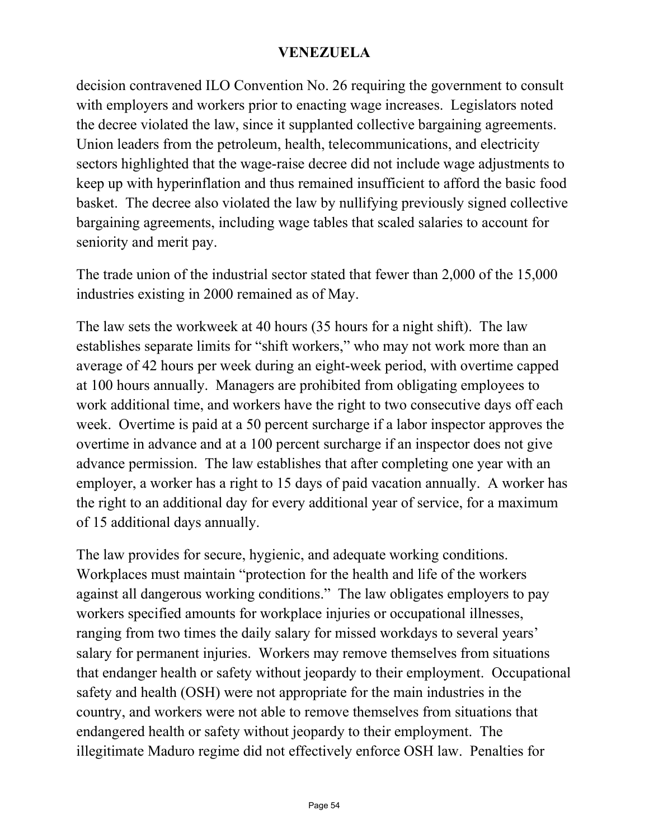decision contravened ILO Convention No. 26 requiring the government to consult with employers and workers prior to enacting wage increases. Legislators noted the decree violated the law, since it supplanted collective bargaining agreements. Union leaders from the petroleum, health, telecommunications, and electricity sectors highlighted that the wage-raise decree did not include wage adjustments to keep up with hyperinflation and thus remained insufficient to afford the basic food basket. The decree also violated the law by nullifying previously signed collective bargaining agreements, including wage tables that scaled salaries to account for seniority and merit pay.

The trade union of the industrial sector stated that fewer than 2,000 of the 15,000 industries existing in 2000 remained as of May.

The law sets the workweek at 40 hours (35 hours for a night shift). The law establishes separate limits for "shift workers," who may not work more than an average of 42 hours per week during an eight-week period, with overtime capped at 100 hours annually. Managers are prohibited from obligating employees to work additional time, and workers have the right to two consecutive days off each week. Overtime is paid at a 50 percent surcharge if a labor inspector approves the overtime in advance and at a 100 percent surcharge if an inspector does not give advance permission. The law establishes that after completing one year with an employer, a worker has a right to 15 days of paid vacation annually. A worker has the right to an additional day for every additional year of service, for a maximum of 15 additional days annually.

The law provides for secure, hygienic, and adequate working conditions. Workplaces must maintain "protection for the health and life of the workers against all dangerous working conditions." The law obligates employers to pay workers specified amounts for workplace injuries or occupational illnesses, ranging from two times the daily salary for missed workdays to several years' salary for permanent injuries. Workers may remove themselves from situations that endanger health or safety without jeopardy to their employment. Occupational safety and health (OSH) were not appropriate for the main industries in the country, and workers were not able to remove themselves from situations that endangered health or safety without jeopardy to their employment. The illegitimate Maduro regime did not effectively enforce OSH law. Penalties for